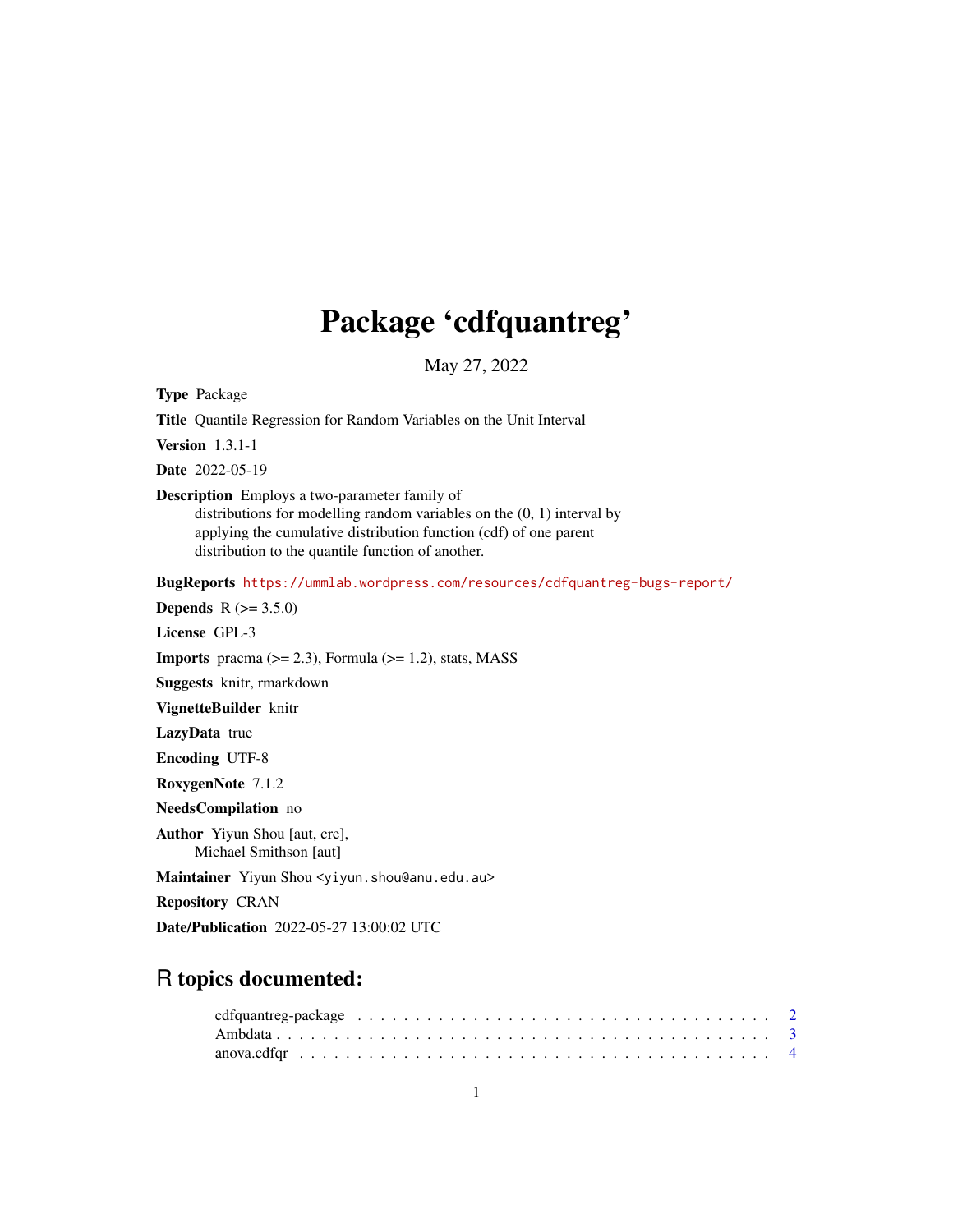# Package 'cdfquantreg'

May 27, 2022

<span id="page-0-0"></span>Type Package

Title Quantile Regression for Random Variables on the Unit Interval

Version 1.3.1-1

Date 2022-05-19

Description Employs a two-parameter family of

distributions for modelling random variables on the (0, 1) interval by applying the cumulative distribution function (cdf) of one parent distribution to the quantile function of another.

BugReports <https://ummlab.wordpress.com/resources/cdfquantreg-bugs-report/>

**Depends** R  $(>= 3.5.0)$ 

License GPL-3

**Imports** pracma  $(>= 2.3)$ , Formula  $(>= 1.2)$ , stats, MASS

Suggests knitr, rmarkdown

VignetteBuilder knitr

LazyData true

Encoding UTF-8

RoxygenNote 7.1.2

NeedsCompilation no

Author Yiyun Shou [aut, cre], Michael Smithson [aut]

Maintainer Yiyun Shou <yiyun.shou@anu.edu.au>

Repository CRAN

Date/Publication 2022-05-27 13:00:02 UTC

# R topics documented: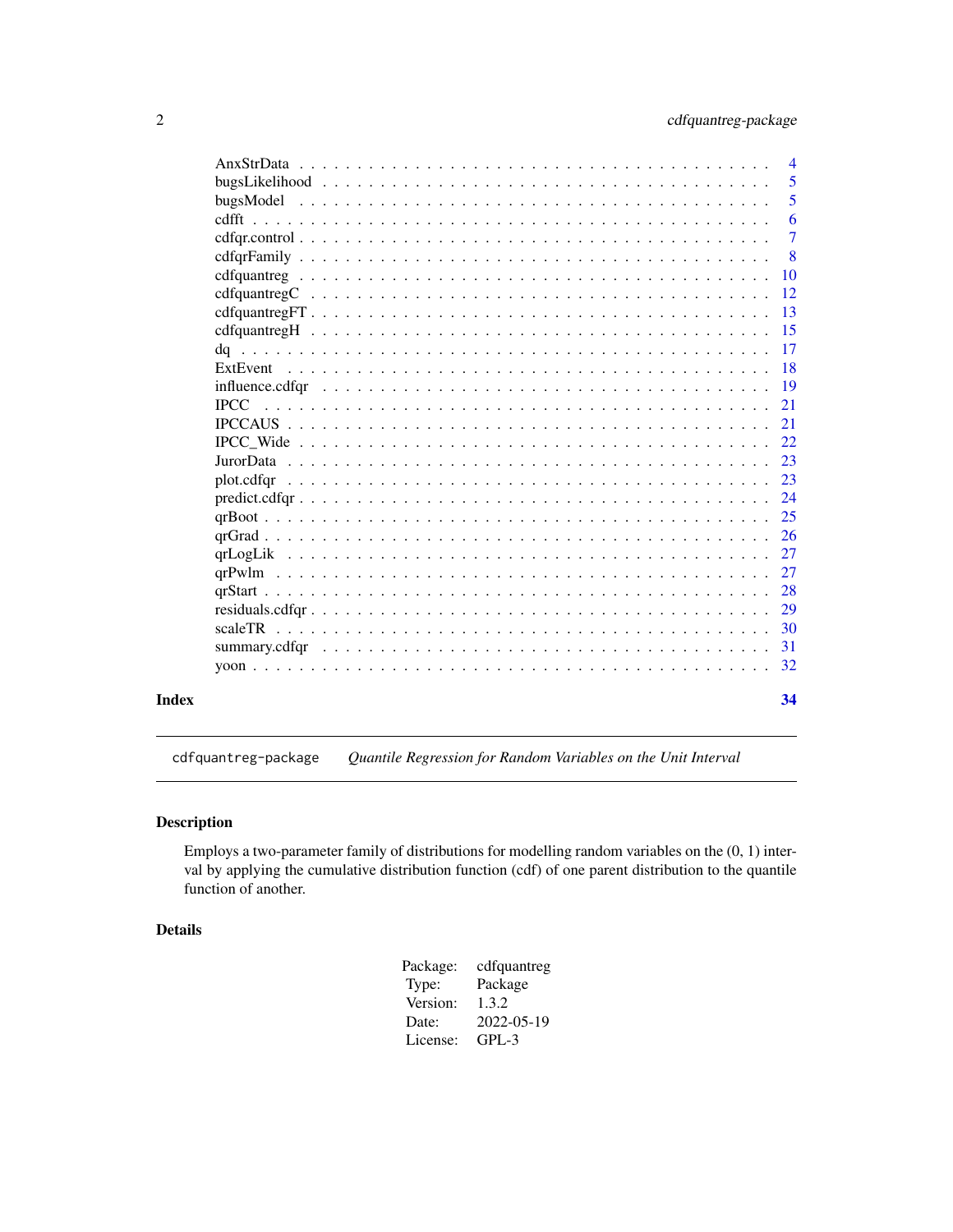<span id="page-1-0"></span>

|       |                                                                                                                            | $\overline{4}$ |
|-------|----------------------------------------------------------------------------------------------------------------------------|----------------|
|       |                                                                                                                            | 5              |
|       |                                                                                                                            | 5              |
|       |                                                                                                                            | 6              |
|       | $cdfqrcontrol \dots \dots \dots \dots \dots \dots \dots \dots \dots \dots \dots \dots \dots \dots \dots \dots \dots \dots$ | $\overline{7}$ |
|       |                                                                                                                            | 8              |
|       |                                                                                                                            | <b>10</b>      |
|       |                                                                                                                            | 12             |
|       | $cdfquantreg FT \dots \dots \dots \dots \dots \dots \dots \dots \dots \dots \dots \dots \dots \dots \dots \dots$           | -13            |
|       |                                                                                                                            | -15            |
|       |                                                                                                                            | -17            |
|       |                                                                                                                            | -18            |
|       |                                                                                                                            | <sup>19</sup>  |
|       | <b>IPCC</b>                                                                                                                | 21             |
|       |                                                                                                                            | 21             |
|       |                                                                                                                            | 22             |
|       |                                                                                                                            | 23             |
|       |                                                                                                                            |                |
|       |                                                                                                                            |                |
|       |                                                                                                                            | 25             |
|       |                                                                                                                            | <sup>26</sup>  |
|       |                                                                                                                            | 27             |
|       |                                                                                                                            | 27             |
|       |                                                                                                                            | 28             |
|       |                                                                                                                            | 29             |
|       |                                                                                                                            | -30            |
|       |                                                                                                                            | -31            |
|       |                                                                                                                            | 32             |
| Index |                                                                                                                            | 34             |

cdfquantreg-package *Quantile Regression for Random Variables on the Unit Interval*

# Description

Employs a two-parameter family of distributions for modelling random variables on the (0, 1) interval by applying the cumulative distribution function (cdf) of one parent distribution to the quantile function of another.

#### Details

| Package: | cdfquantreg |
|----------|-------------|
| Type:    | Package     |
| Version: | 1.3.2       |
| Date:    | 2022-05-19  |
| License: | GPL-3       |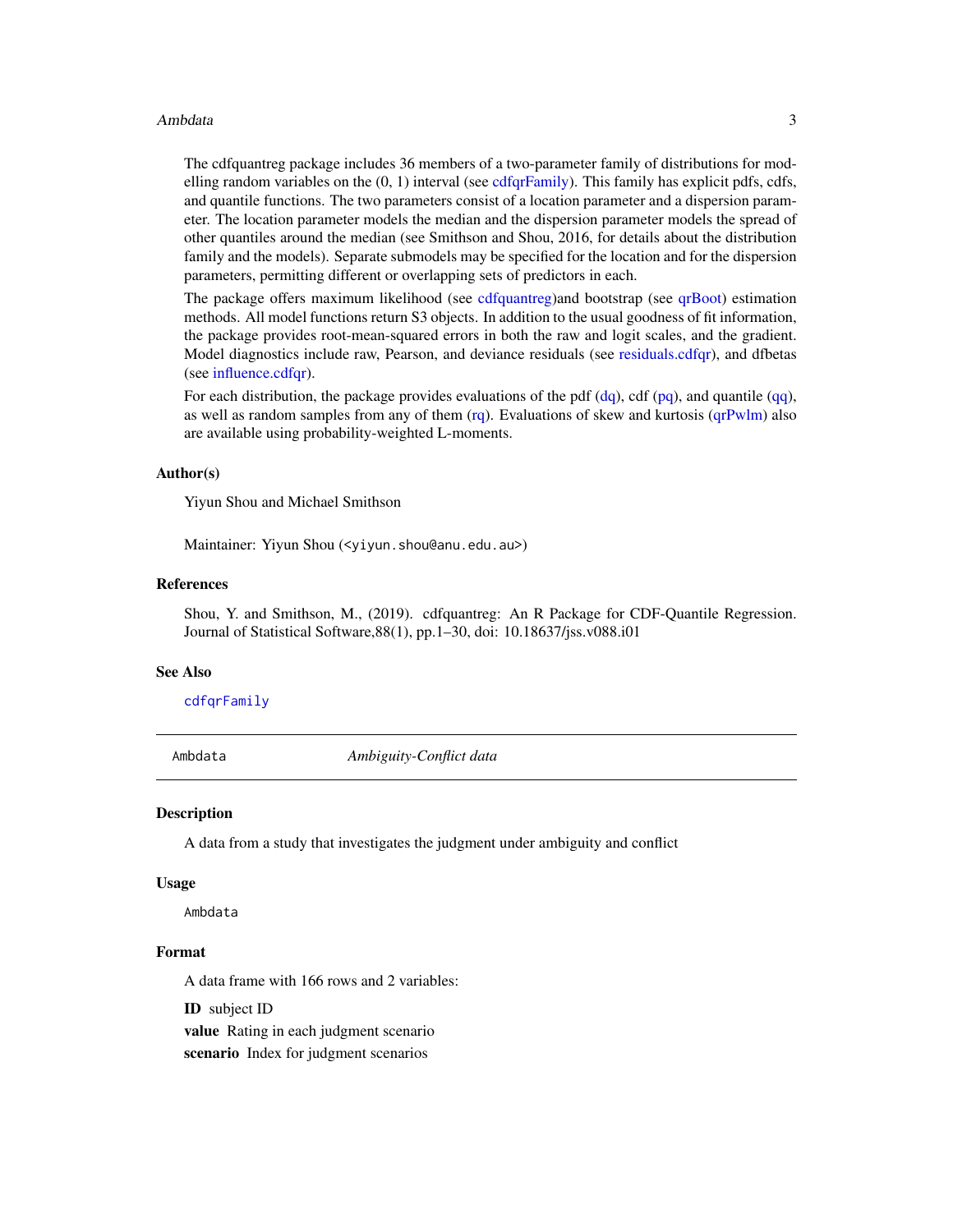#### <span id="page-2-0"></span>Ambdata 3

The cdfquantreg package includes 36 members of a two-parameter family of distributions for modelling random variables on the  $(0, 1)$  interval (see [cdfqrFamily\)](#page-7-1). This family has explicit pdfs, cdfs, and quantile functions. The two parameters consist of a location parameter and a dispersion parameter. The location parameter models the median and the dispersion parameter models the spread of other quantiles around the median (see Smithson and Shou, 2016, for details about the distribution family and the models). Separate submodels may be specified for the location and for the dispersion parameters, permitting different or overlapping sets of predictors in each.

The package offers maximum likelihood (see [cdfquantreg\)](#page-9-1)and bootstrap (see [qrBoot\)](#page-24-1) estimation methods. All model functions return S3 objects. In addition to the usual goodness of fit information, the package provides root-mean-squared errors in both the raw and logit scales, and the gradient. Model diagnostics include raw, Pearson, and deviance residuals (see [residuals.cdfqr\)](#page-28-1), and dfbetas (see [influence.cdfqr\)](#page-18-1).

For each distribution, the package provides evaluations of the pdf  $(dq)$ , cdf  $(pq)$ , and quantile  $(qq)$ , as well as random samples from any of them  $(rq)$ . Evaluations of skew and kurtosis  $(qrPwlm)$  also are available using probability-weighted L-moments.

#### Author(s)

Yiyun Shou and Michael Smithson

Maintainer: Yiyun Shou (<yiyun.shou@anu.edu.au>)

#### References

Shou, Y. and Smithson, M., (2019). cdfquantreg: An R Package for CDF-Quantile Regression. Journal of Statistical Software,88(1), pp.1–30, doi: 10.18637/jss.v088.i01

#### See Also

[cdfqrFamily](#page-7-1)

Ambdata *Ambiguity-Conflict data*

#### Description

A data from a study that investigates the judgment under ambiguity and conflict

#### Usage

Ambdata

#### Format

A data frame with 166 rows and 2 variables:

ID subject ID

value Rating in each judgment scenario

scenario Index for judgment scenarios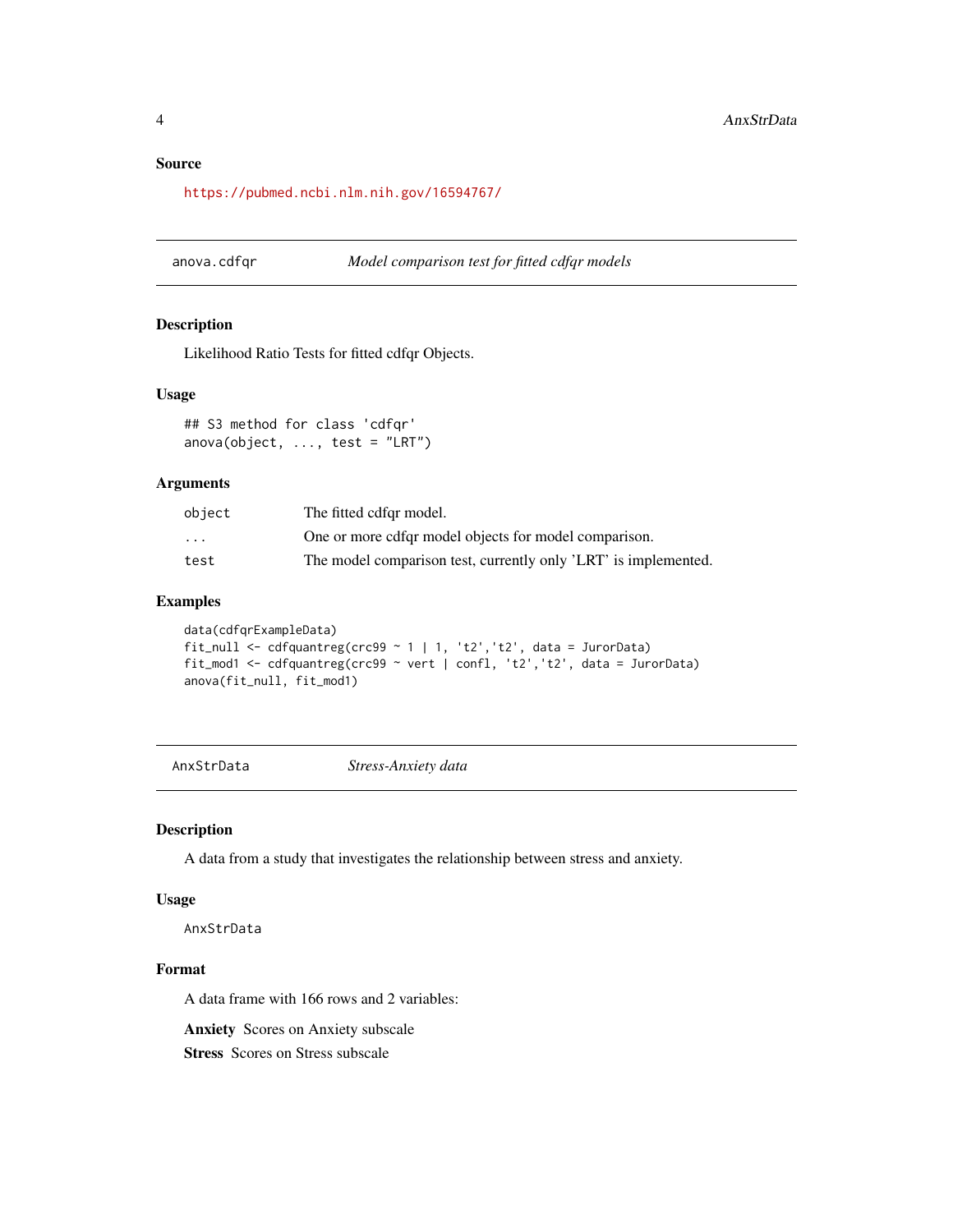#### <span id="page-3-0"></span>Source

<https://pubmed.ncbi.nlm.nih.gov/16594767/>

anova.cdfqr *Model comparison test for fitted cdfqr models*

### Description

Likelihood Ratio Tests for fitted cdfqr Objects.

#### Usage

## S3 method for class 'cdfqr'  $anova(object, ..., test = "LRT")$ 

#### Arguments

| object                  | The fitted cdfgr model.                                         |
|-------------------------|-----------------------------------------------------------------|
| $\cdot$ $\cdot$ $\cdot$ | One or more cdfgr model objects for model comparison.           |
| test                    | The model comparison test, currently only 'LRT' is implemented. |

# Examples

```
data(cdfqrExampleData)
fit_null <- cdfquantreg(crc99 ~ 1 | 1, 't2','t2', data = JurorData)
fit_mod1 <- cdfquantreg(crc99 ~ vert | confl, 't2','t2', data = JurorData)
anova(fit_null, fit_mod1)
```
AnxStrData *Stress-Anxiety data*

#### Description

A data from a study that investigates the relationship between stress and anxiety.

#### Usage

AnxStrData

# Format

A data frame with 166 rows and 2 variables:

Anxiety Scores on Anxiety subscale

Stress Scores on Stress subscale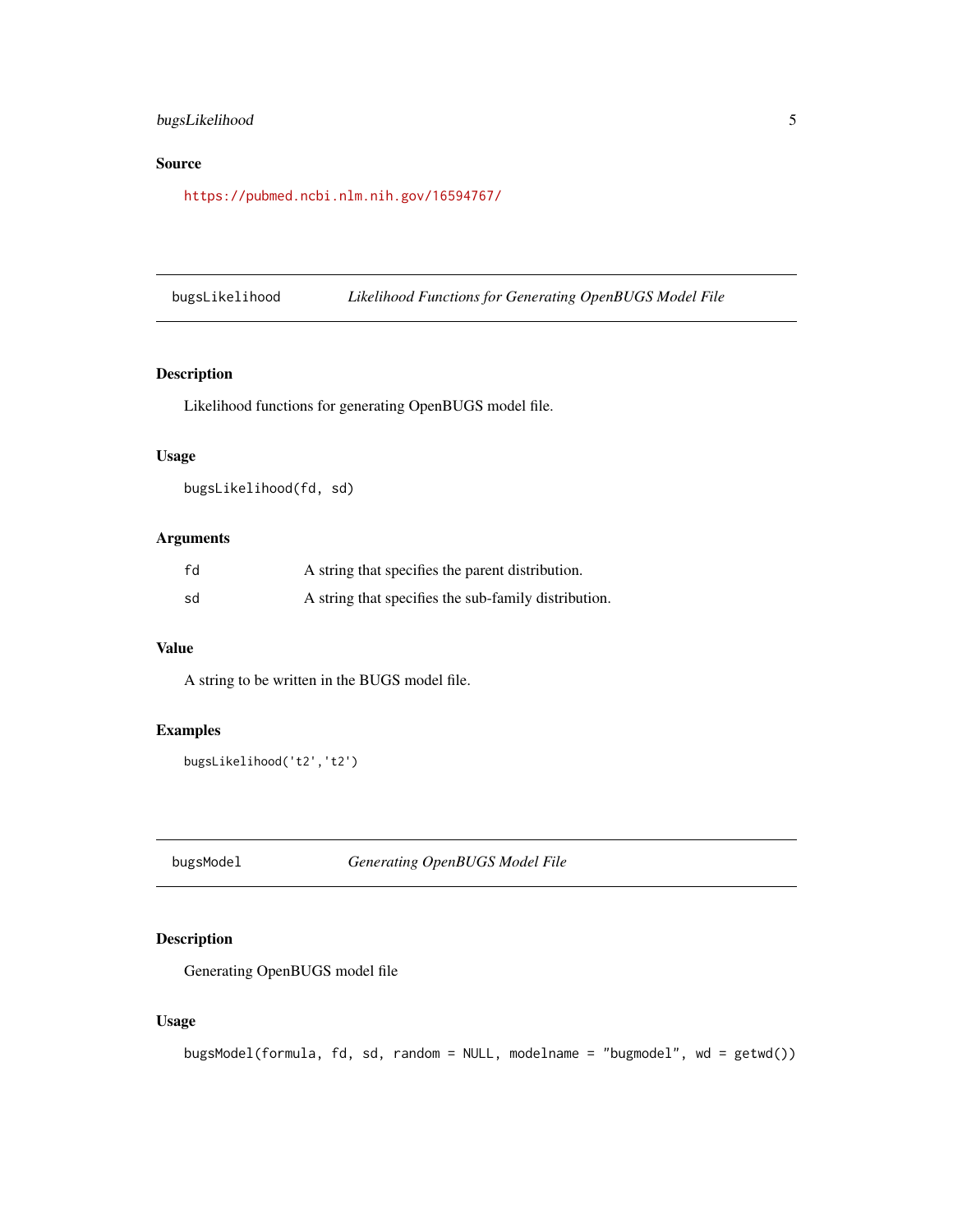# <span id="page-4-0"></span>bugsLikelihood 5

# Source

<https://pubmed.ncbi.nlm.nih.gov/16594767/>

bugsLikelihood *Likelihood Functions for Generating OpenBUGS Model File*

# Description

Likelihood functions for generating OpenBUGS model file.

# Usage

bugsLikelihood(fd, sd)

# Arguments

| fd | A string that specifies the parent distribution.     |
|----|------------------------------------------------------|
| sd | A string that specifies the sub-family distribution. |

# Value

A string to be written in the BUGS model file.

# Examples

```
bugsLikelihood('t2','t2')
```
bugsModel *Generating OpenBUGS Model File*

# Description

Generating OpenBUGS model file

```
bugsModel(formula, fd, sd, random = NULL, modelname = "bugmodel", wd = getwd())
```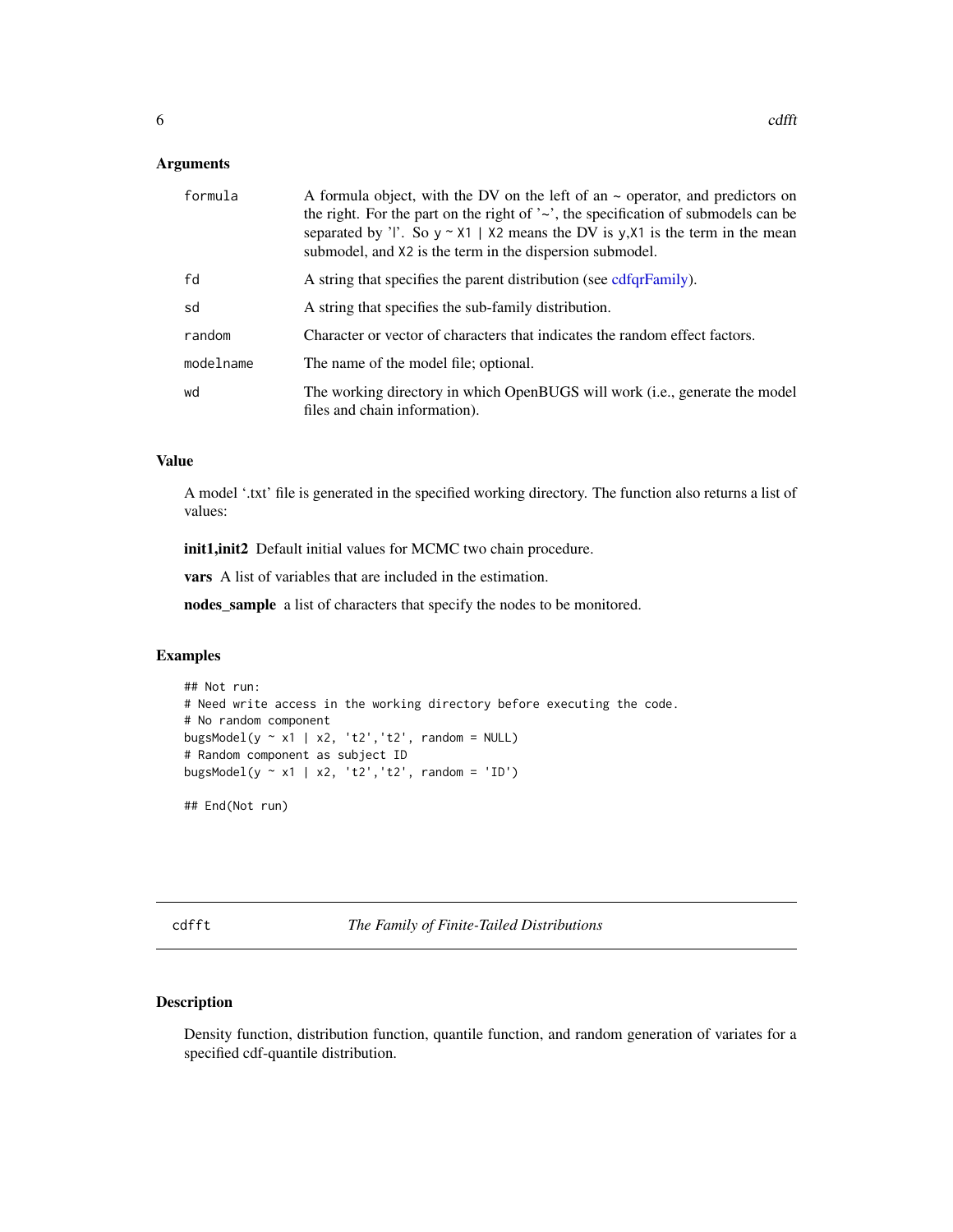<span id="page-5-0"></span>

| formula   | A formula object, with the DV on the left of an $\sim$ operator, and predictors on<br>the right. For the part on the right of $\sim$ , the specification of submodels can be<br>separated by 'l'. So $y \sim x1$   X2 means the DV is y, X1 is the term in the mean<br>submodel, and X2 is the term in the dispersion submodel. |
|-----------|---------------------------------------------------------------------------------------------------------------------------------------------------------------------------------------------------------------------------------------------------------------------------------------------------------------------------------|
| fd        | A string that specifies the parent distribution (see cdfqrFamily).                                                                                                                                                                                                                                                              |
| sd        | A string that specifies the sub-family distribution.                                                                                                                                                                                                                                                                            |
| random    | Character or vector of characters that indicates the random effect factors.                                                                                                                                                                                                                                                     |
| modelname | The name of the model file; optional.                                                                                                                                                                                                                                                                                           |
| wd        | The working directory in which OpenBUGS will work (i.e., generate the model<br>files and chain information).                                                                                                                                                                                                                    |

#### Value

A model '.txt' file is generated in the specified working directory. The function also returns a list of values:

init1,init2 Default initial values for MCMC two chain procedure.

vars A list of variables that are included in the estimation.

nodes\_sample a list of characters that specify the nodes to be monitored.

#### Examples

```
## Not run:
# Need write access in the working directory before executing the code.
# No random component
bugsModel(y \sim x1 | x2, 't2', 't2', random = NULL)
# Random component as subject ID
bugsModel(y \sim x1 | x2, 't2', 't2', random = 'ID')
```
## End(Not run)

cdfft *The Family of Finite-Tailed Distributions*

# Description

Density function, distribution function, quantile function, and random generation of variates for a specified cdf-quantile distribution.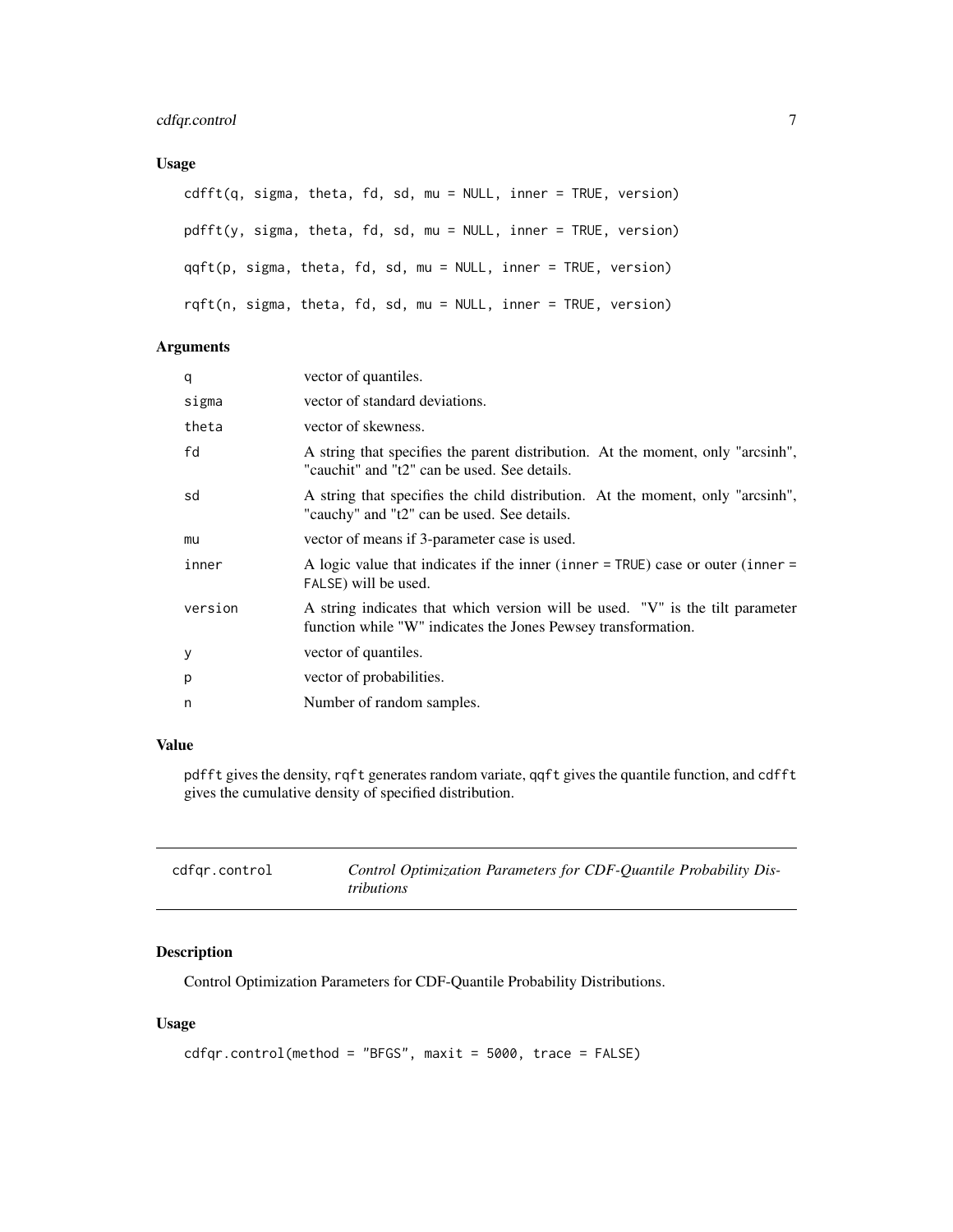# <span id="page-6-0"></span>Usage

```
cdfft(q, sigma, theta, fd, sd, mu = NULL, inner = TRUE, version)
pdfft(y, sigma, theta, fd, sd, mu = NULL, inner = TRUE, version)
qqft(p, sigma, theta, fd, sd, mu = NULL, inner = TRUE, version)
rqft(n, sigma, theta, fd, sd, mu = NULL, inner = TRUE, version)
```
# Arguments

| q       | vector of quantiles.                                                                                                                           |
|---------|------------------------------------------------------------------------------------------------------------------------------------------------|
| sigma   | vector of standard deviations.                                                                                                                 |
| theta   | vector of skewness.                                                                                                                            |
| fd      | A string that specifies the parent distribution. At the moment, only "arcsinh",<br>"cauchit" and "t2" can be used. See details.                |
| sd      | A string that specifies the child distribution. At the moment, only "arcsinh",<br>"cauchy" and "t2" can be used. See details.                  |
| mu      | vector of means if 3-parameter case is used.                                                                                                   |
| inner   | A logic value that indicates if the inner (inner $=$ TRUE) case or outer (inner $=$<br>FALSE) will be used.                                    |
| version | A string indicates that which version will be used. "V" is the tilt parameter<br>function while "W" indicates the Jones Pewsey transformation. |
| У       | vector of quantiles.                                                                                                                           |
| p       | vector of probabilities.                                                                                                                       |
| n       | Number of random samples.                                                                                                                      |

# Value

pdfft gives the density, rqft generates random variate, qqft gives the quantile function, and cdfft gives the cumulative density of specified distribution.

<span id="page-6-1"></span>

| cdfgr.control | Control Optimization Parameters for CDF-Quantile Probability Dis- |
|---------------|-------------------------------------------------------------------|
|               | tributions                                                        |

# Description

Control Optimization Parameters for CDF-Quantile Probability Distributions.

```
cdfqr.control(method = "BFGS", maxit = 5000, trace = FALSE)
```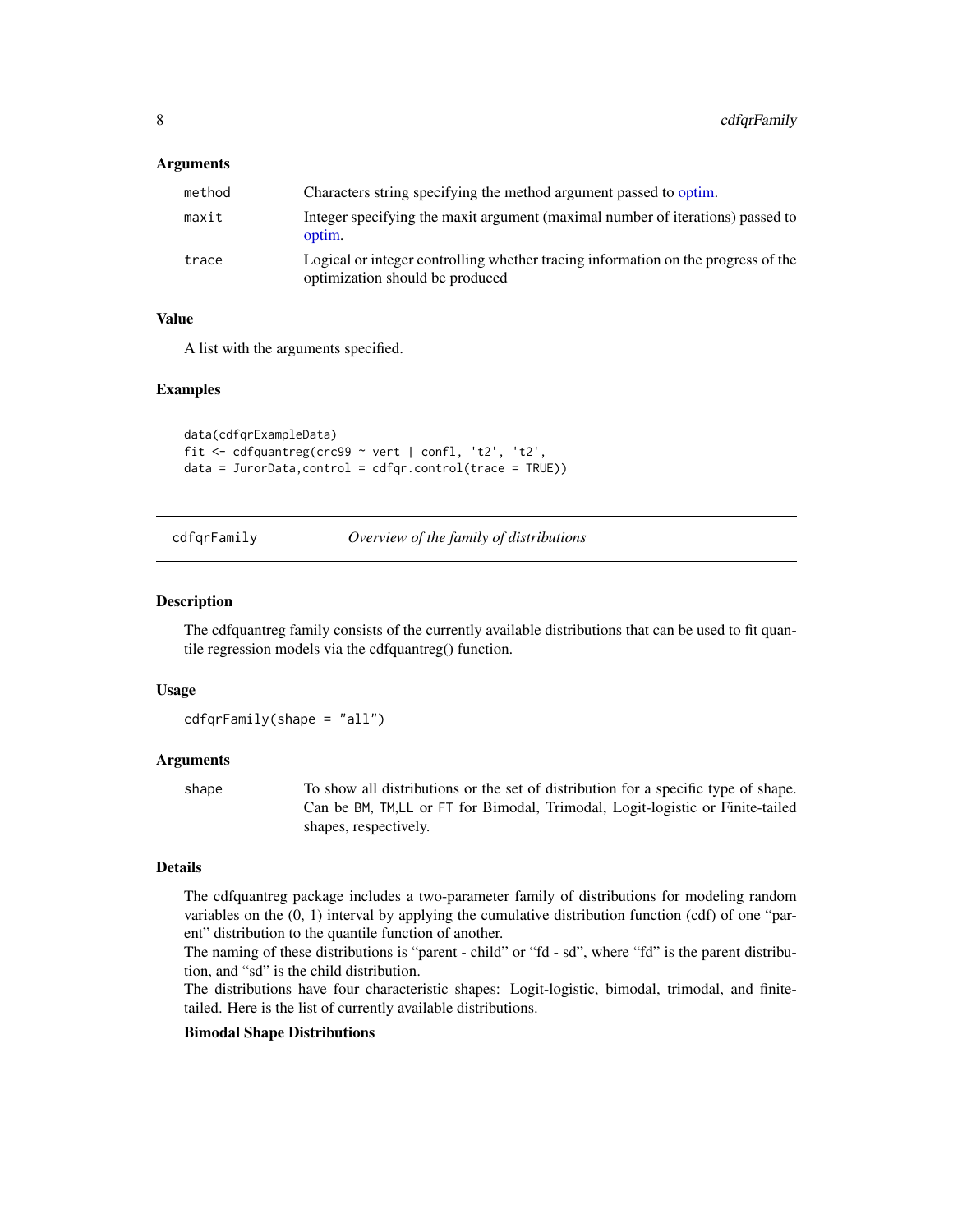<span id="page-7-0"></span>

| method | Characters string specifying the method argument passed to optim.                                                    |
|--------|----------------------------------------------------------------------------------------------------------------------|
| maxit  | Integer specifying the maxit argument (maximal number of iterations) passed to<br>optim.                             |
| trace  | Logical or integer controlling whether tracing information on the progress of the<br>optimization should be produced |

#### Value

A list with the arguments specified.

#### Examples

```
data(cdfqrExampleData)
fit \le - cdfquantreg(crc99 \sim vert | confl, 't2', 't2',
data = JurorData, control = cdfqr.control(trace = TRUE))
```
cdfqrFamily *Overview of the family of distributions*

#### Description

The cdfquantreg family consists of the currently available distributions that can be used to fit quantile regression models via the cdfquantreg() function.

#### Usage

cdfqrFamily(shape = "all")

# Arguments

shape To show all distributions or the set of distribution for a specific type of shape. Can be BM, TM,LL or FT for Bimodal, Trimodal, Logit-logistic or Finite-tailed shapes, respectively.

#### Details

The cdfquantreg package includes a two-parameter family of distributions for modeling random variables on the (0, 1) interval by applying the cumulative distribution function (cdf) of one "parent" distribution to the quantile function of another.

The naming of these distributions is "parent - child" or "fd - sd", where "fd" is the parent distribution, and "sd" is the child distribution.

The distributions have four characteristic shapes: Logit-logistic, bimodal, trimodal, and finitetailed. Here is the list of currently available distributions.

#### Bimodal Shape Distributions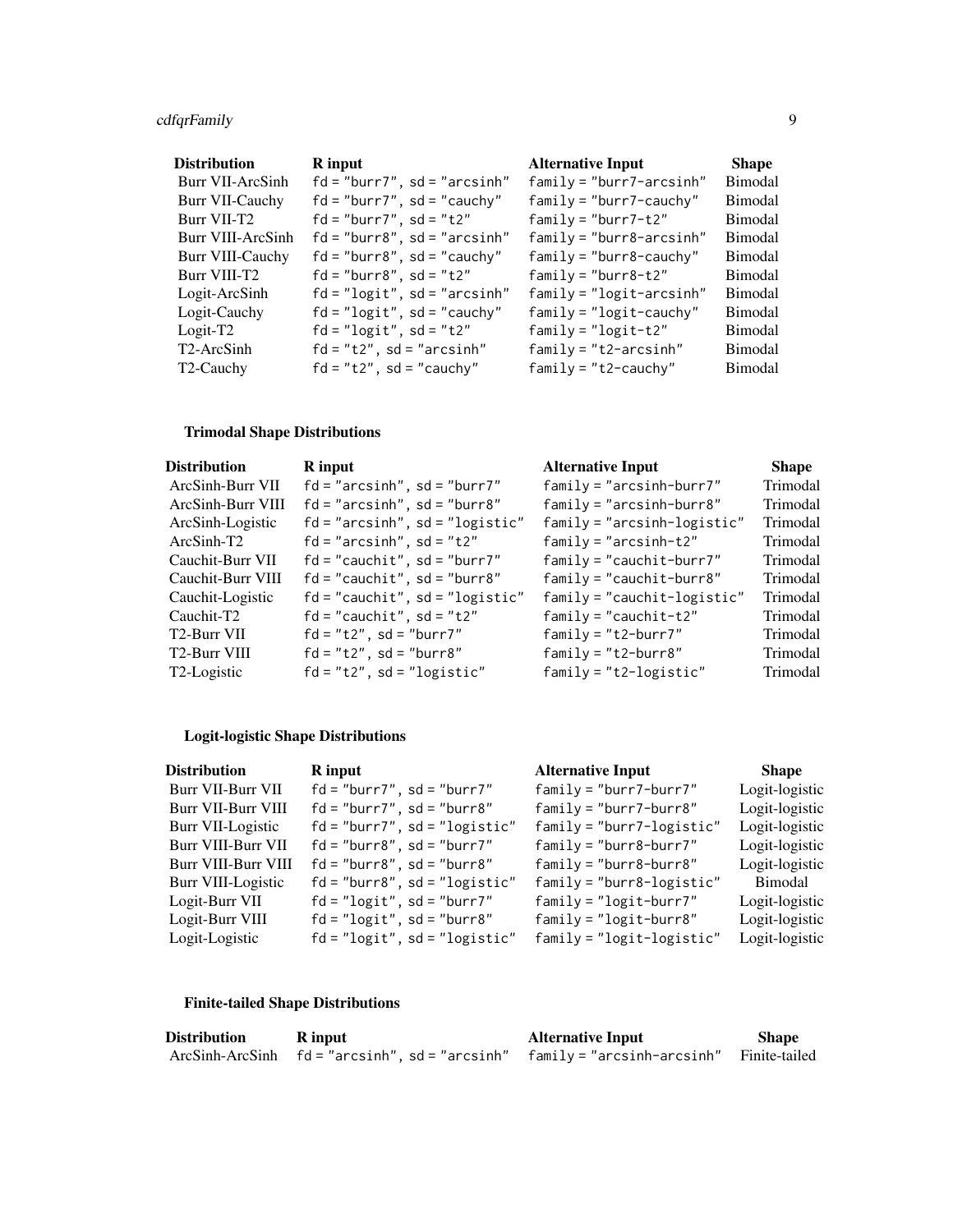# cdfqrFamily 9

| <b>Distribution</b>     | R input                        | <b>Alternative Input</b>    | <b>Shape</b>   |
|-------------------------|--------------------------------|-----------------------------|----------------|
| <b>Burr VII-ArcSinh</b> | $fd = "burn7", sd = "arcsinh"$ | $family = "burn7-arcsinh"$  | Bimodal        |
| <b>Burr VII-Cauchy</b>  | $fd = "burn7", sd = "cauchy"$  | $family = "burn7 - cauchy"$ | Bimodal        |
| Burr VII-T2             | $fd = "burn7", sd = "t2"$      | $family = "burn7-t2"$       | Bimodal        |
| Burr VIII-ArcSinh       | $fd = "burn8", sd = "arcsinh"$ | $family = "burn8-arcsinh"$  | Bimodal        |
| <b>Burr VIII-Cauchy</b> | $fd = "burn8", sd = "cauchy"$  | $family = "burn8 - cauchy"$ | Bimodal        |
| Burr VIII-T2            | $fd = "burn8", sd = "t2"$      | $family = "burn8-t2"$       | Bimodal        |
| Logit-ArcSinh           | $fd="logit", sd="arcsinh"$     | $family = "logit-arcsinh"$  | <b>Bimodal</b> |
| Logit-Cauchy            | $fd = "logit", sd = "cauchy"$  | $family = "logit-cauchy"$   | Bimodal        |
| $Logit-T2$              | $fd="logit", sd="t2"$          | $family = "logit-t2"$       | Bimodal        |
| T2-ArcSinh              | $fd = "t2", sd = "arcsinh"$    | $family = "t2-arcsinh"$     | Bimodal        |
| T <sub>2</sub> -Cauchy  | $fd = "t2", sd = "cauchy"$     | $family = "t2-cauchy"$      | <b>Bimodal</b> |

# Trimodal Shape Distributions

| R input                           | <b>Alternative Input</b>      | <b>Shape</b> |
|-----------------------------------|-------------------------------|--------------|
| $fd="arcsinh"$ , $sd="burr7"$     | $family = "arcsinh-burr7"$    | Trimodal     |
| $fd="arcsinh"$ , $sd="burr8"$     | $family = "arcsinh-burr8"$    | Trimodal     |
| $fd="arcsinh", sd="logistic"$     | $family = "arcsinh-logistic"$ | Trimodal     |
| $fd = "arcsinh", sd = "t2"$       | $family = "arcsinh-t2"$       | Trimodal     |
| $fd = "cauchit", sd = "burn7"$    | $family = "cauchit-burr7"$    | Trimodal     |
| $fd = "cauchit", sd = "burn8"$    | $family = "cauchit-burr8"$    | Trimodal     |
| $fd = "cauchit", sd = "logistic"$ | $family = "cauchit-logistic"$ | Trimodal     |
| $fd = "cauchit", sd = "t2"$       | $family = "cauchit-t2"$       | Trimodal     |
| $fd = "t2", sd = "burn7"$         | $family = "t2-burr7"$         | Trimodal     |
| $fd = "t2", sd = "burn8"$         | $family = "t2-burr8"$         | Trimodal     |
| $fd = "t2", sd = "logistic"$      | $family = "t2-logistic"$      | Trimodal     |
|                                   |                               |              |

# Logit-logistic Shape Distributions

| <b>Distribution</b> | R input                         | <b>Alternative Input</b>      | <b>Shape</b>   |
|---------------------|---------------------------------|-------------------------------|----------------|
| Burr VII-Burr VII   | $fd = "burn7", sd = "burn7"$    | $family = "burn7 - burr7"$    | Logit-logistic |
| Burr VII-Burr VIII  | $fd = "burn7", sd = "burn8"$    | $family = "burn7 - burr8"$    | Logit-logistic |
| Burr VII-Logistic   | $fd="burn7", sd="login9"$       | $family = "burn7 - logistic"$ | Logit-logistic |
| Burr VIII-Burr VII  | $fd = "burn8", sd = "burn7"$    | $family = "burn8 - burr7"$    | Logit-logistic |
| Burr VIII-Burr VIII | $fd = "burn8", sd = "burn8"$    | $family = "burn8 - burr8"$    | Logit-logistic |
| Burr VIII-Logistic  | $fd="burn8", sd="logistic"$     | $family = "burn8 - logistic"$ | Bimodal        |
| Logit-Burr VII      | $fd="logit", sd="burn7"$        | $family = "logit-burr7"$      | Logit-logistic |
| Logit-Burr VIII     | $fd="logit", sd="burn8"$        | $family = "logit-burr8"$      | Logit-logistic |
| Logit-Logistic      | $fd = "logit", sd = "logistic"$ | $family = "logit-logistic"$   | Logit-logistic |

# Finite-tailed Shape Distributions

| <b>Distribution</b> | R input                                                                           | <b>Alternative Input</b> | <b>Shape</b> |
|---------------------|-----------------------------------------------------------------------------------|--------------------------|--------------|
|                     | ArcSinh-ArcSinh fd="arcsinh", sd="arcsinh" family="arcsinh-arcsinh" Finite-tailed |                          |              |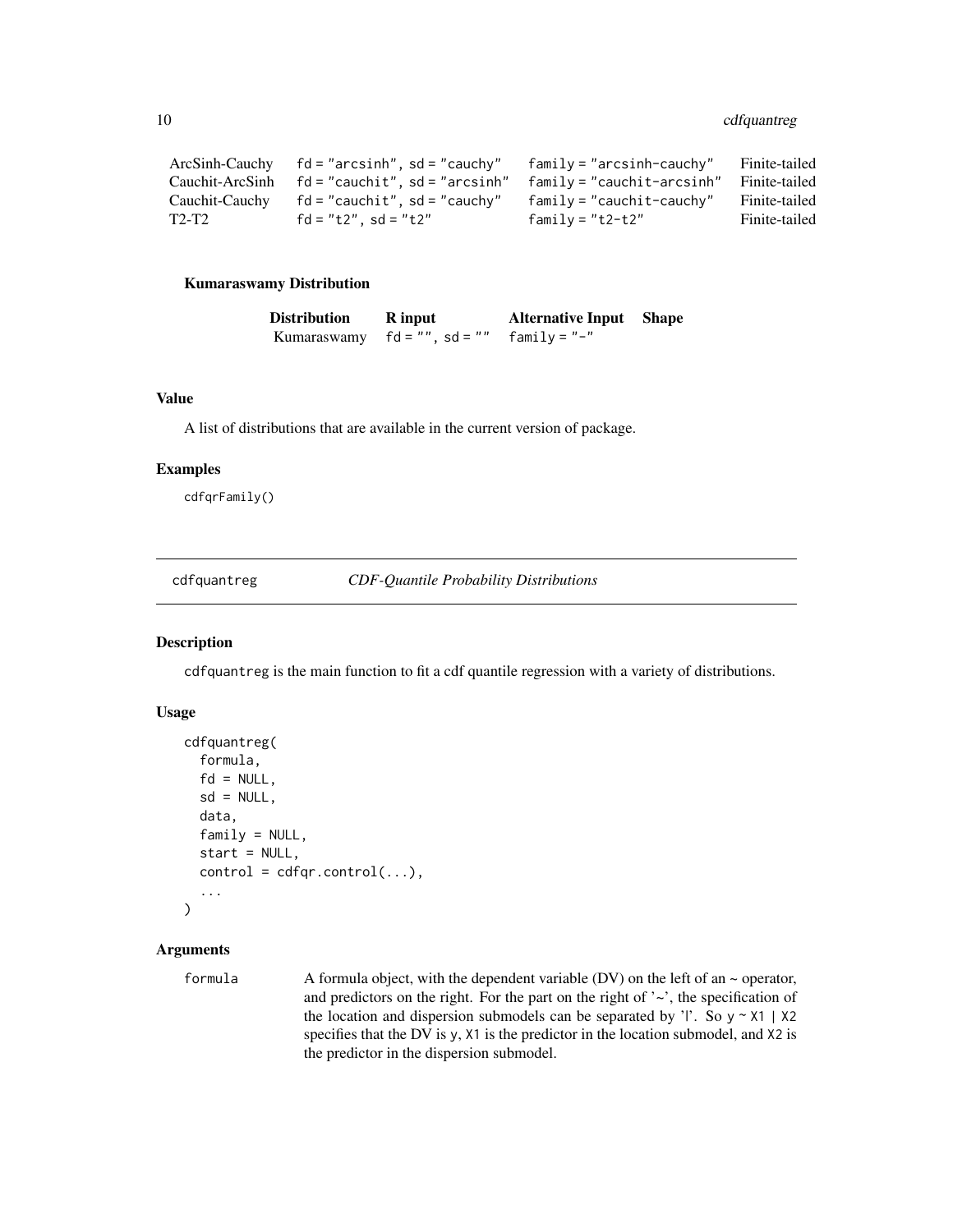```
ArcSinh-Cauchy fd = "arcsinh", sd = "cauchy" family = "arcsinh-cauchy" Finite-tailed
Cauchit-ArcSinh fd = "cauchit", sd = "arcsinh" family = "cauchit-arcsinh" Finite-tailed
Cauchit-Cauchy fd = "cauchit", sd = "cauchy" family = "cauchit-cauchy" Finite-tailed
T2-T2 fd = "t2", sd = "t2" family = "t2-t2" Finite-tailed
```
#### Kumaraswamy Distribution

| <b>Distribution</b> | <b>R</b> input            | <b>Alternative Input</b> Shape |  |
|---------------------|---------------------------|--------------------------------|--|
| Kumaraswamy         | $fd = ''''$ , $sd = ''''$ | family = "-"                   |  |

#### Value

A list of distributions that are available in the current version of package.

#### Examples

cdfqrFamily()

<span id="page-9-1"></span>cdfquantreg *CDF-Quantile Probability Distributions*

# Description

cdfquantreg is the main function to fit a cdf quantile regression with a variety of distributions.

#### Usage

```
cdfquantreg(
  formula,
  fd = NULL,sd = NULL,data,
  family = NULL,
  start = NULL,
  control = cdfqr.control(...),...
\lambda
```
# Arguments

formula A formula object, with the dependent variable (DV) on the left of an  $\sim$  operator, and predictors on the right. For the part on the right of  $\sim$ , the specification of the location and dispersion submodels can be separated by '|'. So  $y \sim X1$  | X2 specifies that the DV is y, X1 is the predictor in the location submodel, and X2 is the predictor in the dispersion submodel.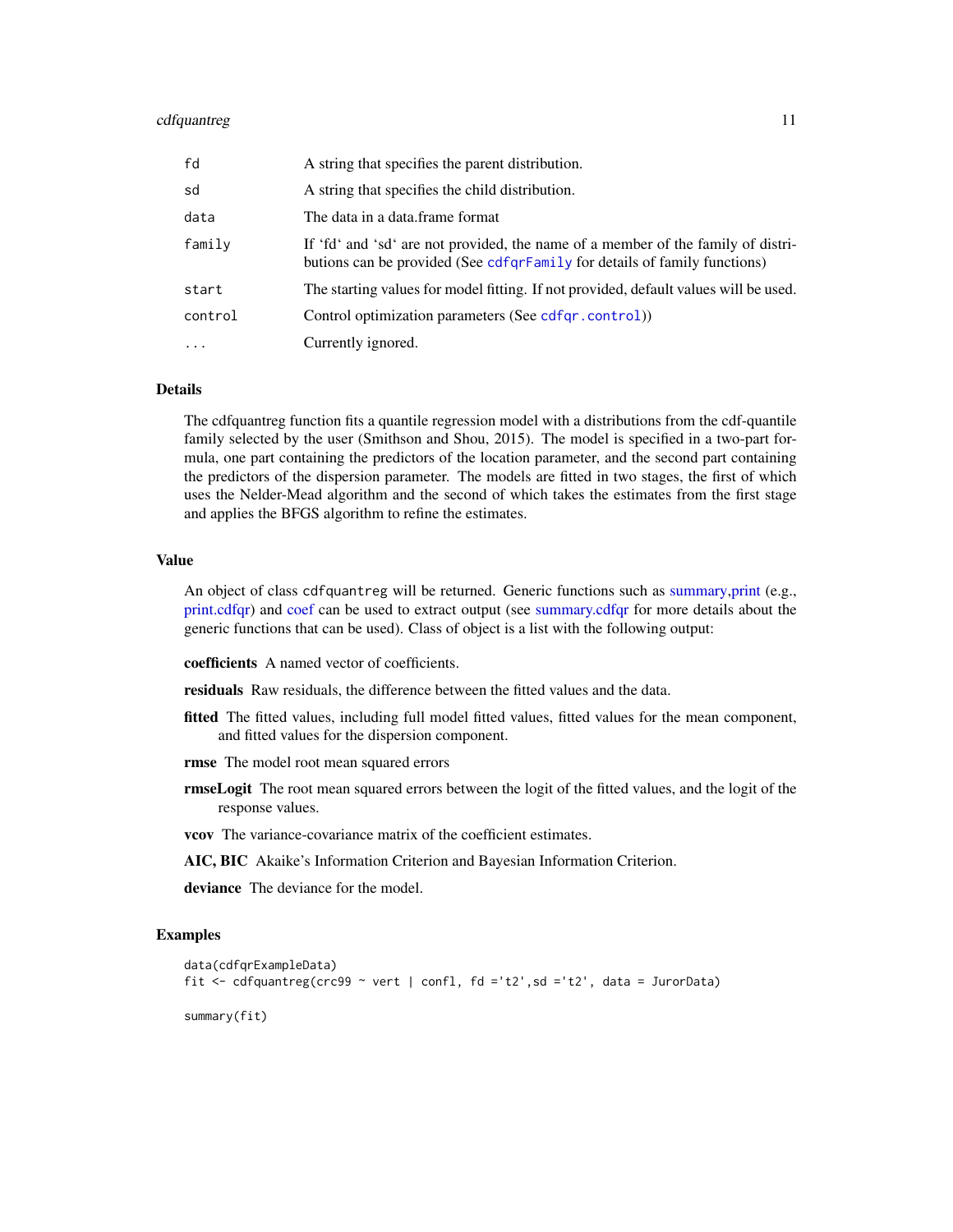#### <span id="page-10-0"></span>cdfquantreg 11

| fd       | A string that specifies the parent distribution.                                                                                                              |
|----------|---------------------------------------------------------------------------------------------------------------------------------------------------------------|
| sd       | A string that specifies the child distribution.                                                                                                               |
| data     | The data in a data.frame format                                                                                                                               |
| family   | If 'fd' and 'sd' are not provided, the name of a member of the family of distri-<br>butions can be provided (See cdfqrFamily for details of family functions) |
| start    | The starting values for model fitting. If not provided, default values will be used.                                                                          |
| control  | Control optimization parameters (See cdfqr.control))                                                                                                          |
| $\cdots$ | Currently ignored.                                                                                                                                            |

#### Details

The cdfquantreg function fits a quantile regression model with a distributions from the cdf-quantile family selected by the user (Smithson and Shou, 2015). The model is specified in a two-part formula, one part containing the predictors of the location parameter, and the second part containing the predictors of the dispersion parameter. The models are fitted in two stages, the first of which uses the Nelder-Mead algorithm and the second of which takes the estimates from the first stage and applies the BFGS algorithm to refine the estimates.

#### Value

An object of class cdfquantreg will be returned. Generic functions such as [summary,print](#page-0-0) (e.g., [print.cdfqr\)](#page-30-1) and [coef](#page-0-0) can be used to extract output (see [summary.cdfqr](#page-30-2) for more details about the generic functions that can be used). Class of object is a list with the following output:

coefficients A named vector of coefficients.

residuals Raw residuals, the difference between the fitted values and the data.

- fitted The fitted values, including full model fitted values, fitted values for the mean component, and fitted values for the dispersion component.
- rmse The model root mean squared errors
- rmseLogit The root mean squared errors between the logit of the fitted values, and the logit of the response values.
- vcov The variance-covariance matrix of the coefficient estimates.
- AIC, BIC Akaike's Information Criterion and Bayesian Information Criterion.
- deviance The deviance for the model.

#### Examples

```
data(cdfqrExampleData)
fit \leq cdfquantreg(crc99 \sim vert | confl, fd ='t2', sd ='t2', data = JurorData)
summary(fit)
```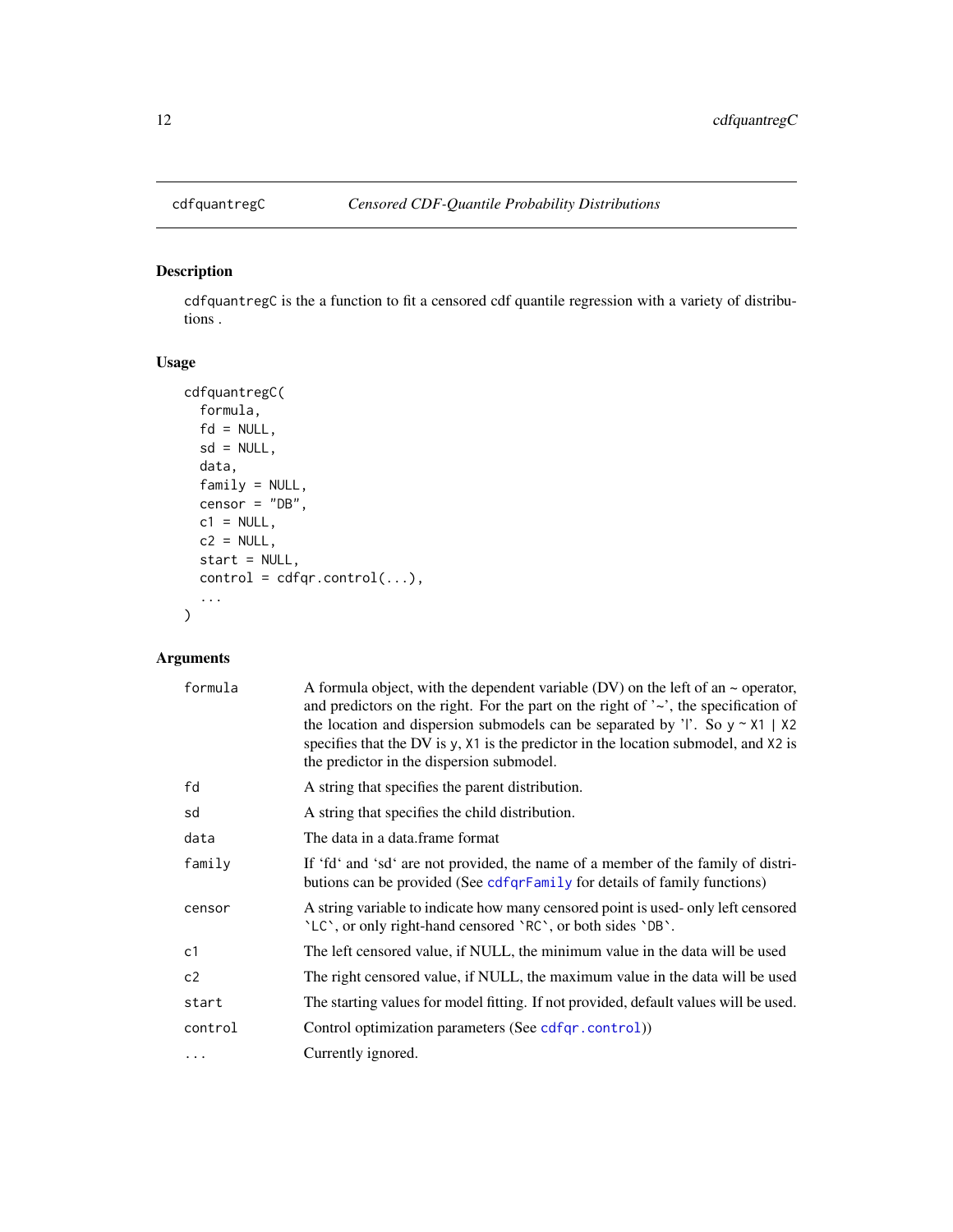<span id="page-11-0"></span>

# Description

cdfquantregC is the a function to fit a censored cdf quantile regression with a variety of distributions .

# Usage

```
cdfquantregC(
  formula,
 fd = NULL,sd = NULL,data,
 family = NULL,
 censor = "DB",
 c1 = NULL,c2 = NULL,start = NULL,
 control = cdfqr.control(...),...
)
```
# Arguments

| formula  | A formula object, with the dependent variable (DV) on the left of an $\sim$ operator,<br>and predictors on the right. For the part on the right of $\sim$ , the specification of<br>the location and dispersion submodels can be separated by 'l'. So $y \sim x1$   $x2$<br>specifies that the DV is y, X1 is the predictor in the location submodel, and X2 is<br>the predictor in the dispersion submodel. |
|----------|--------------------------------------------------------------------------------------------------------------------------------------------------------------------------------------------------------------------------------------------------------------------------------------------------------------------------------------------------------------------------------------------------------------|
| fd       | A string that specifies the parent distribution.                                                                                                                                                                                                                                                                                                                                                             |
| sd       | A string that specifies the child distribution.                                                                                                                                                                                                                                                                                                                                                              |
| data     | The data in a data frame format                                                                                                                                                                                                                                                                                                                                                                              |
| family   | If 'fd' and 'sd' are not provided, the name of a member of the family of distri-<br>butions can be provided (See cdfqrFamily for details of family functions)                                                                                                                                                                                                                                                |
| censor   | A string variable to indicate how many censored point is used-only left censored<br>'LC', or only right-hand censored 'RC', or both sides 'DB'.                                                                                                                                                                                                                                                              |
| c1       | The left censored value, if NULL, the minimum value in the data will be used                                                                                                                                                                                                                                                                                                                                 |
| c2       | The right censored value, if NULL, the maximum value in the data will be used                                                                                                                                                                                                                                                                                                                                |
| start    | The starting values for model fitting. If not provided, default values will be used.                                                                                                                                                                                                                                                                                                                         |
| control  | Control optimization parameters (See cdfqr.control))                                                                                                                                                                                                                                                                                                                                                         |
| $\cdots$ | Currently ignored.                                                                                                                                                                                                                                                                                                                                                                                           |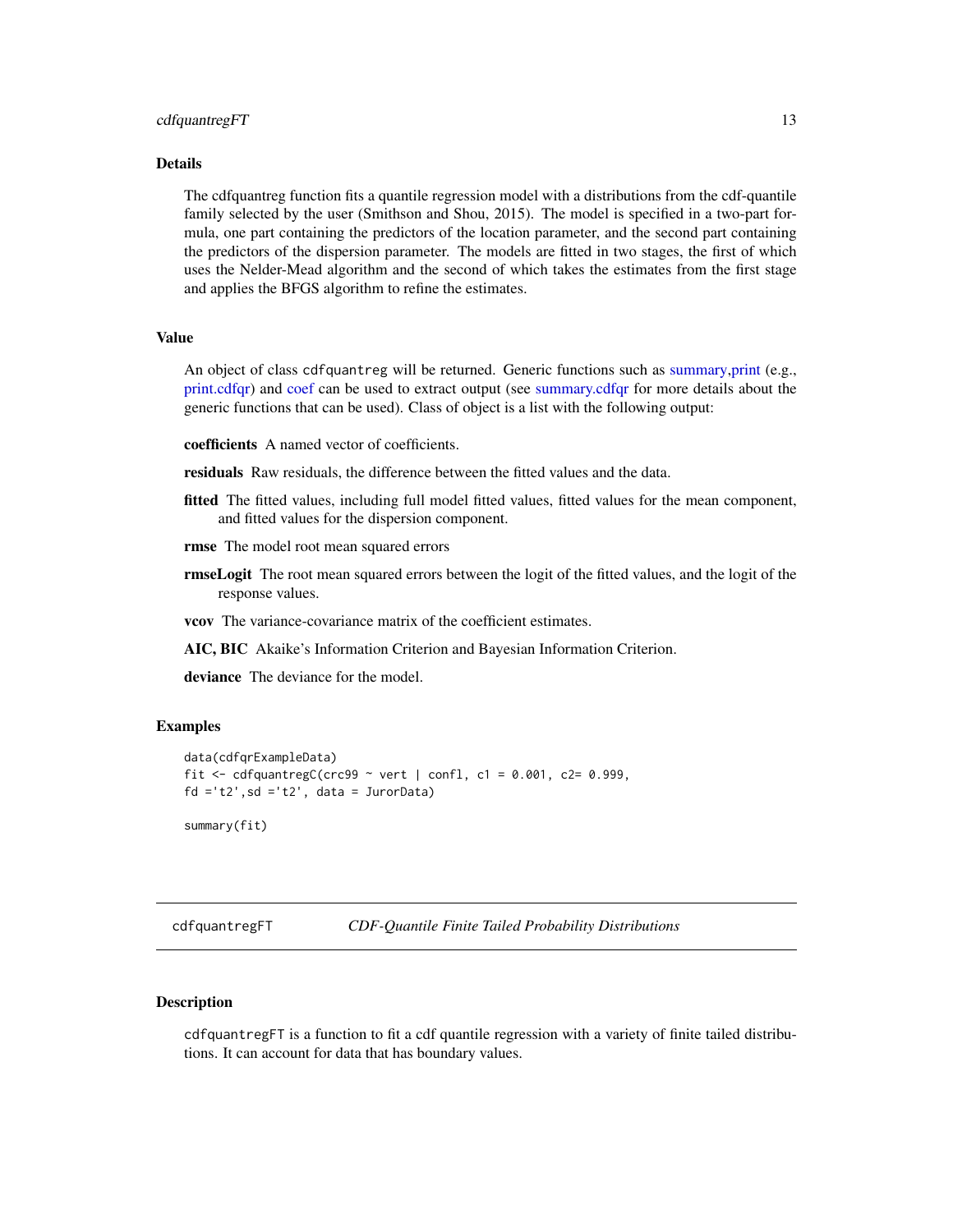#### <span id="page-12-0"></span>Details

The cdfquantreg function fits a quantile regression model with a distributions from the cdf-quantile family selected by the user (Smithson and Shou, 2015). The model is specified in a two-part formula, one part containing the predictors of the location parameter, and the second part containing the predictors of the dispersion parameter. The models are fitted in two stages, the first of which uses the Nelder-Mead algorithm and the second of which takes the estimates from the first stage and applies the BFGS algorithm to refine the estimates.

# Value

An object of class cdfquantreg will be returned. Generic functions such as [summary,print](#page-0-0) (e.g., [print.cdfqr\)](#page-30-1) and [coef](#page-0-0) can be used to extract output (see [summary.cdfqr](#page-30-2) for more details about the generic functions that can be used). Class of object is a list with the following output:

coefficients A named vector of coefficients.

residuals Raw residuals, the difference between the fitted values and the data.

- fitted The fitted values, including full model fitted values, fitted values for the mean component, and fitted values for the dispersion component.
- rmse The model root mean squared errors
- **rmseLogit** The root mean squared errors between the logit of the fitted values, and the logit of the response values.

vcov The variance-covariance matrix of the coefficient estimates.

AIC, BIC Akaike's Information Criterion and Bayesian Information Criterion.

deviance The deviance for the model.

#### Examples

```
data(cdfqrExampleData)
fit <- cdfquantregC(crc99 ~ vert | confl, c1 = 0.001, c2= 0.999,
fd = 't2', sd = 't2', data = JurorData)summary(fit)
```
cdfquantregFT *CDF-Quantile Finite Tailed Probability Distributions*

#### Description

cdfquantregFT is a function to fit a cdf quantile regression with a variety of finite tailed distributions. It can account for data that has boundary values.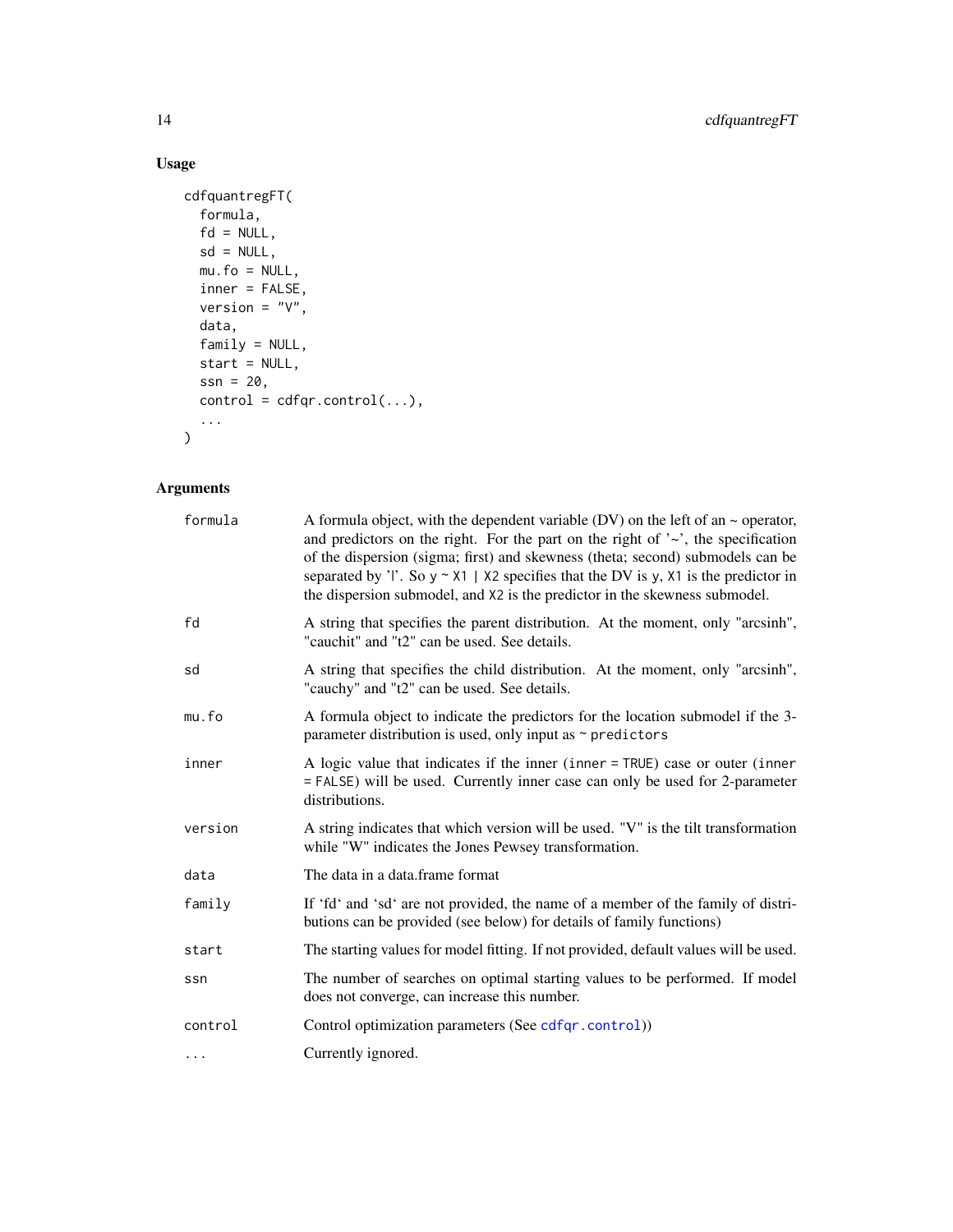# Usage

```
cdfquantregFT(
  formula,
  fd = NULL,sd = NULL,mu.fo = NULL,
  inner = FALSE,
  version = "V",
  data,
  family = NULL,
  start = NULL,
  ssn = 20,control = cdfqr.control(...),...
\mathcal{L}
```
# Arguments

| formula  | A formula object, with the dependent variable (DV) on the left of an $\sim$ operator,<br>and predictors on the right. For the part on the right of $\sim$ , the specification<br>of the dispersion (sigma; first) and skewness (theta; second) submodels can be<br>separated by 'l'. So $y \sim x1$   $x2$ specifies that the DV is y, $x1$ is the predictor in<br>the dispersion submodel, and X2 is the predictor in the skewness submodel. |
|----------|-----------------------------------------------------------------------------------------------------------------------------------------------------------------------------------------------------------------------------------------------------------------------------------------------------------------------------------------------------------------------------------------------------------------------------------------------|
| fd       | A string that specifies the parent distribution. At the moment, only "arcsinh",<br>"cauchit" and "t2" can be used. See details.                                                                                                                                                                                                                                                                                                               |
| sd       | A string that specifies the child distribution. At the moment, only "arcsinh",<br>"cauchy" and "t2" can be used. See details.                                                                                                                                                                                                                                                                                                                 |
| mu.fo    | A formula object to indicate the predictors for the location submodel if the 3-<br>parameter distribution is used, only input as $\sim$ predictors                                                                                                                                                                                                                                                                                            |
| inner    | A logic value that indicates if the inner (inner $=$ TRUE) case or outer (inner<br>= FALSE) will be used. Currently inner case can only be used for 2-parameter<br>distributions.                                                                                                                                                                                                                                                             |
| version  | A string indicates that which version will be used. "V" is the tilt transformation<br>while "W" indicates the Jones Pewsey transformation.                                                                                                                                                                                                                                                                                                    |
| data     | The data in a data.frame format                                                                                                                                                                                                                                                                                                                                                                                                               |
| family   | If 'fd' and 'sd' are not provided, the name of a member of the family of distri-<br>butions can be provided (see below) for details of family functions)                                                                                                                                                                                                                                                                                      |
| start    | The starting values for model fitting. If not provided, default values will be used.                                                                                                                                                                                                                                                                                                                                                          |
| ssn      | The number of searches on optimal starting values to be performed. If model<br>does not converge, can increase this number.                                                                                                                                                                                                                                                                                                                   |
| control  | Control optimization parameters (See cdfqr.control))                                                                                                                                                                                                                                                                                                                                                                                          |
| $\cdots$ | Currently ignored.                                                                                                                                                                                                                                                                                                                                                                                                                            |

<span id="page-13-0"></span>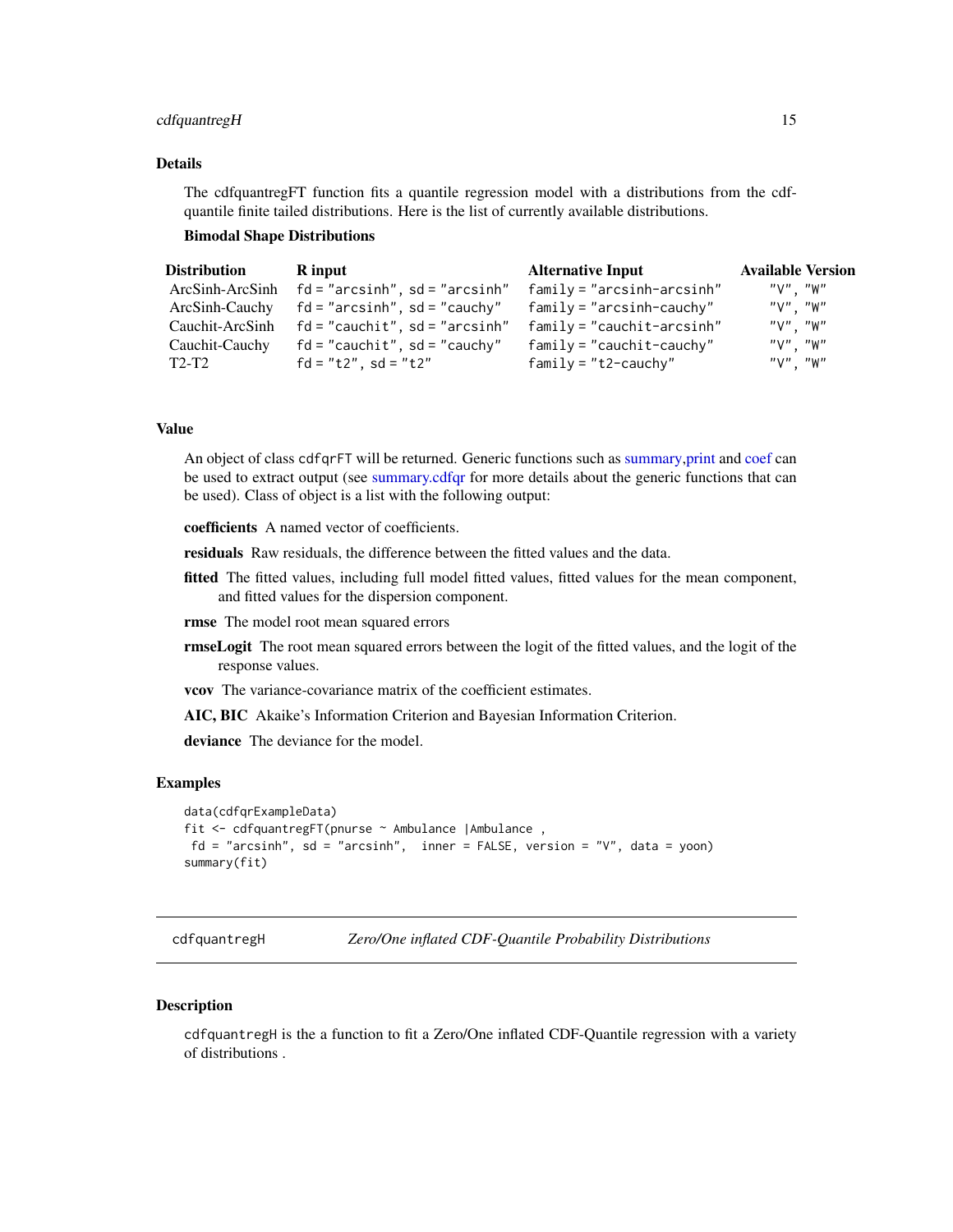#### <span id="page-14-0"></span>cdfquantregH 15

# Details

The cdfquantregFT function fits a quantile regression model with a distributions from the cdfquantile finite tailed distributions. Here is the list of currently available distributions.

#### Bimodal Shape Distributions

| <b>Distribution</b> | R input                                           | <b>Alternative Input</b>     | <b>Available Version</b> |
|---------------------|---------------------------------------------------|------------------------------|--------------------------|
|                     | $ArcSinh-ArcSinh$ $fd="arcsinh"$ , $sd="arcsinh"$ | $family = "arcsinh-arcsinh"$ | "V". "W"                 |
|                     | $ArcSinh-Cauchy$ fd = "arcsinh", sd = "cauchy"    | $family = "arcsinh-cauchy"$  | "∨". "W"                 |
| Cauchit-ArcSinh     | fd = "cauchit", sd = "arcsinh"                    | $family = "cauchit-arcsinh"$ | "V". "W"                 |
| Cauchit-Cauchy      | $fd = "cauchit", sd = "cauchy"$                   | $family = "cauchit-cauchy"$  | $"V"$ . $"W"$            |
| T2-T2               | $fd = "t2", sd = "t2"$                            | $family = "t2-cauchy"$       | $"V"$ . $"W"$            |

# Value

An object of class cdfqrFT will be returned. Generic functions such as [summary,print](#page-0-0) and [coef](#page-0-0) can be used to extract output (see [summary.cdfqr](#page-30-2) for more details about the generic functions that can be used). Class of object is a list with the following output:

coefficients A named vector of coefficients.

residuals Raw residuals, the difference between the fitted values and the data.

fitted The fitted values, including full model fitted values, fitted values for the mean component, and fitted values for the dispersion component.

rmse The model root mean squared errors

- **rmseLogit** The root mean squared errors between the logit of the fitted values, and the logit of the response values.
- vcov The variance-covariance matrix of the coefficient estimates.

AIC, BIC Akaike's Information Criterion and Bayesian Information Criterion.

deviance The deviance for the model.

#### Examples

```
data(cdfqrExampleData)
fit <- cdfquantregFT(pnurse ~ Ambulance |Ambulance ,
 fd = "arcsinh", sd = "arcsinh", inner = FALSE, version = "V", data = yoon)summary(fit)
```
cdfquantregH *Zero/One inflated CDF-Quantile Probability Distributions*

#### Description

cdfquantregH is the a function to fit a Zero/One inflated CDF-Quantile regression with a variety of distributions .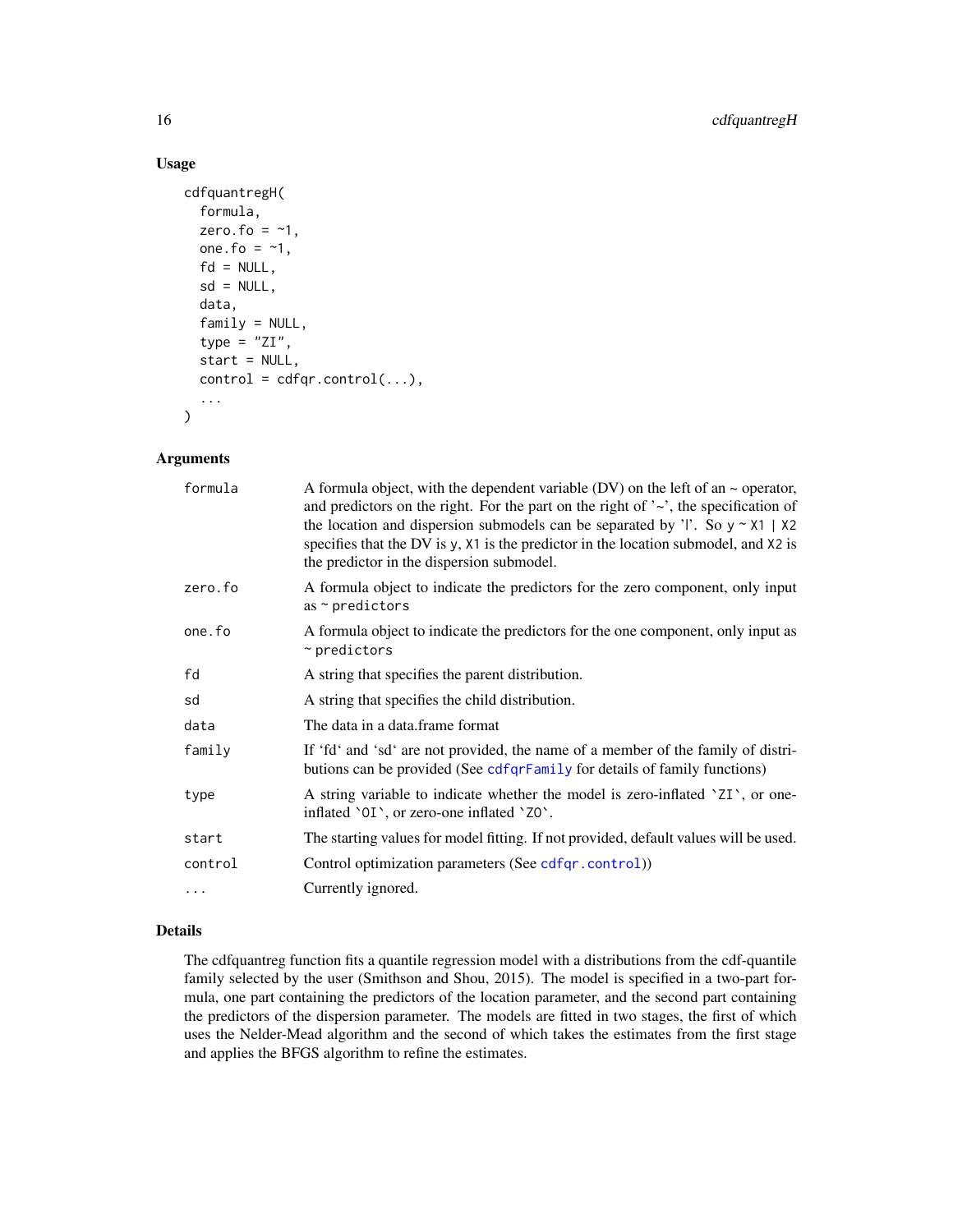# Usage

```
cdfquantregH(
  formula,
  zero.fo = -1,
  one.fo = -1,
  fd = NULL,sd = NULL,data,
  family = NULL,type = "ZI",start = NULL,
  control = cdfqr.control(...),...
\mathcal{L}
```
#### Arguments

| formula | A formula object, with the dependent variable (DV) on the left of an $\sim$ operator,<br>and predictors on the right. For the part on the right of $\sim$ , the specification of<br>the location and dispersion submodels can be separated by 'l'. So $y \sim x1$   $x2$<br>specifies that the DV is y, X1 is the predictor in the location submodel, and X2 is<br>the predictor in the dispersion submodel. |
|---------|--------------------------------------------------------------------------------------------------------------------------------------------------------------------------------------------------------------------------------------------------------------------------------------------------------------------------------------------------------------------------------------------------------------|
| zero.fo | A formula object to indicate the predictors for the zero component, only input<br>as $\sim$ predictors                                                                                                                                                                                                                                                                                                       |
| one.fo  | A formula object to indicate the predictors for the one component, only input as<br>$~\sim$ predictors                                                                                                                                                                                                                                                                                                       |
| fd      | A string that specifies the parent distribution.                                                                                                                                                                                                                                                                                                                                                             |
| sd      | A string that specifies the child distribution.                                                                                                                                                                                                                                                                                                                                                              |
| data    | The data in a data frame format                                                                                                                                                                                                                                                                                                                                                                              |
| family  | If 'fd' and 'sd' are not provided, the name of a member of the family of distri-<br>butions can be provided (See cdfqrFamily for details of family functions)                                                                                                                                                                                                                                                |
| type    | A string variable to indicate whether the model is zero-inflated 'ZI', or one-<br>inflated '0I', or zero-one inflated 'ZO'.                                                                                                                                                                                                                                                                                  |
| start   | The starting values for model fitting. If not provided, default values will be used.                                                                                                                                                                                                                                                                                                                         |
| control | Control optimization parameters (See cdfqr.control))                                                                                                                                                                                                                                                                                                                                                         |
| .       | Currently ignored.                                                                                                                                                                                                                                                                                                                                                                                           |

# Details

The cdfquantreg function fits a quantile regression model with a distributions from the cdf-quantile family selected by the user (Smithson and Shou, 2015). The model is specified in a two-part formula, one part containing the predictors of the location parameter, and the second part containing the predictors of the dispersion parameter. The models are fitted in two stages, the first of which uses the Nelder-Mead algorithm and the second of which takes the estimates from the first stage and applies the BFGS algorithm to refine the estimates.

<span id="page-15-0"></span>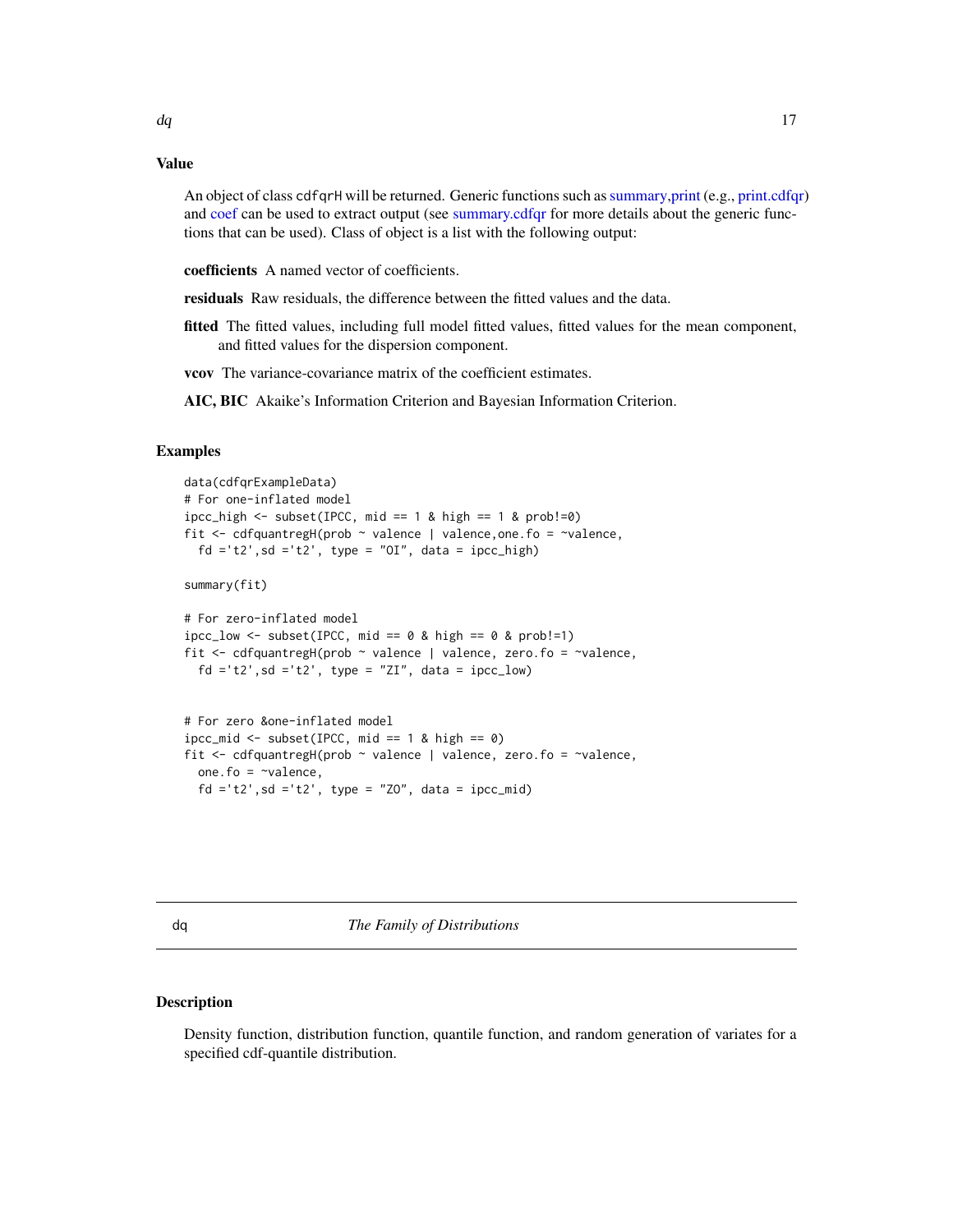#### <span id="page-16-0"></span>Value

An object of class cdfqrH will be returned. Generic functions such as[summary,print](#page-0-0) (e.g., [print.cdfqr\)](#page-30-1) and [coef](#page-0-0) can be used to extract output (see [summary.cdfqr](#page-30-2) for more details about the generic functions that can be used). Class of object is a list with the following output:

coefficients A named vector of coefficients.

residuals Raw residuals, the difference between the fitted values and the data.

fitted The fitted values, including full model fitted values, fitted values for the mean component, and fitted values for the dispersion component.

vcov The variance-covariance matrix of the coefficient estimates.

AIC, BIC Akaike's Information Criterion and Bayesian Information Criterion.

#### Examples

```
data(cdfqrExampleData)
# For one-inflated model
ipcc_high \le subset(IPCC, mid == 1 & high == 1 & prob!=0)
fit <- cdfquantregH(prob ~ valence | valence,one.fo = ~valence,
  fd ='t2', sd ='t2', type = "OI", data = ipcc_high)
summary(fit)
# For zero-inflated model
incc_low \leftarrow subset(IPCC, mid == 0 & hipic = 0 & prob!=1)fit \leq cdfquantregH(prob \sim valence | valence, zero.fo = \simvalence,
  fd = 't2', sd = 't2', type = "ZI", data = ipcc_low)# For zero &one-inflated model
\text{incc\_mid} \leq -\text{subset(IPC}, \text{mid} == 1 \& \text{high} == 0)fit <- cdfquantregH(prob ~ valence | valence, zero.fo = ~valence,
  one.fo = \simvalence
```

| $O(1C \cdot 10)$ value, |  |  |                                                       |
|-------------------------|--|--|-------------------------------------------------------|
|                         |  |  | $fd = 't2', sd = 't2', type = "Z0", data = ipcc_mid)$ |

<span id="page-16-1"></span>

dq *The Family of Distributions*

#### <span id="page-16-2"></span>Description

Density function, distribution function, quantile function, and random generation of variates for a specified cdf-quantile distribution.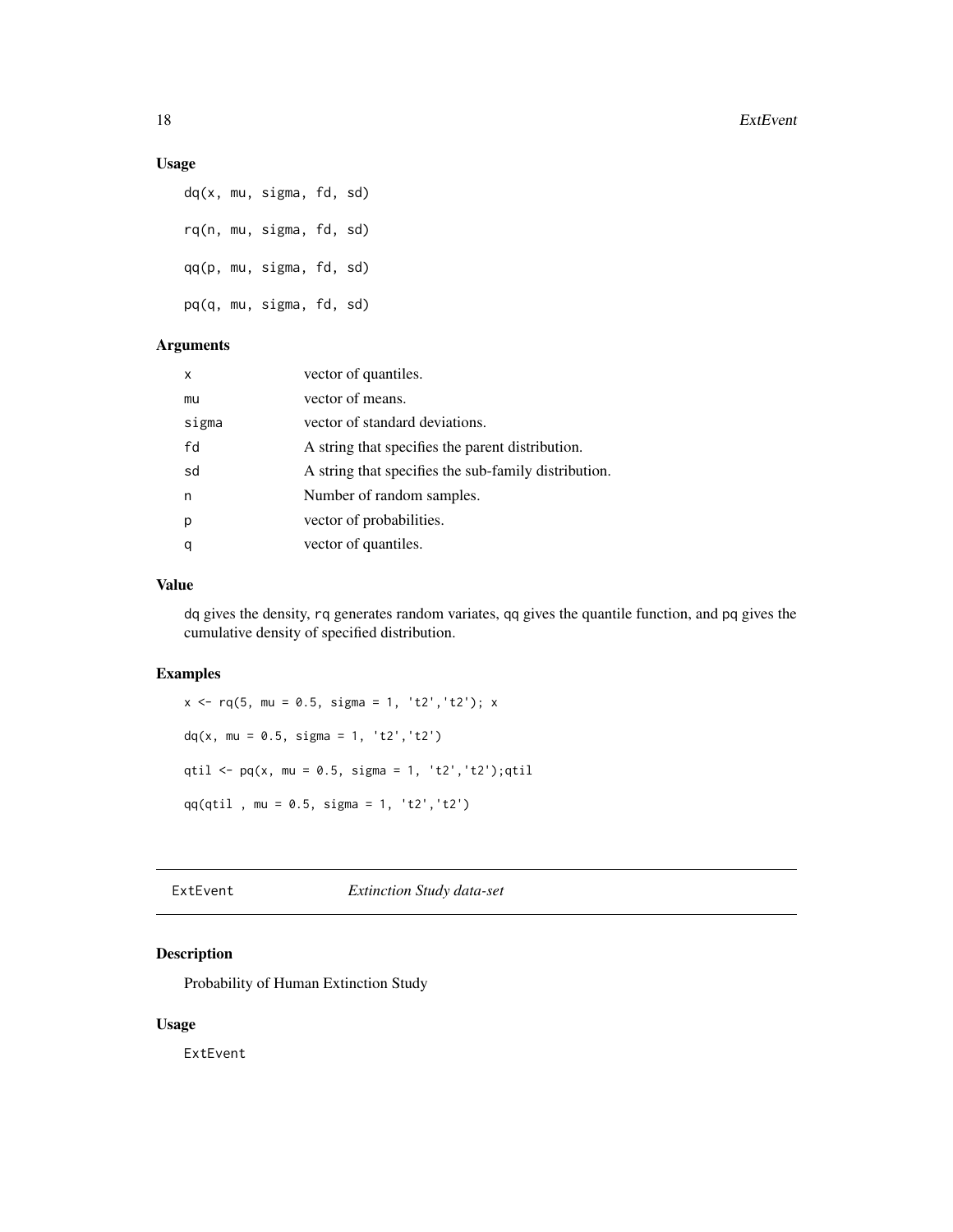#### <span id="page-17-0"></span>Usage

dq(x, mu, sigma, fd, sd) rq(n, mu, sigma, fd, sd) qq(p, mu, sigma, fd, sd) pq(q, mu, sigma, fd, sd)

# Arguments

| x     | vector of quantiles.                                 |
|-------|------------------------------------------------------|
| mu    | vector of means.                                     |
| sigma | vector of standard deviations.                       |
| fd    | A string that specifies the parent distribution.     |
| sd    | A string that specifies the sub-family distribution. |
| n     | Number of random samples.                            |
| р     | vector of probabilities.                             |
| q     | vector of quantiles.                                 |

#### Value

dq gives the density, rq generates random variates, qq gives the quantile function, and pq gives the cumulative density of specified distribution.

#### Examples

 $x \leq -rq(5, mu = 0.5, sigma = 1, 't2', 't2'); x$  $dq(x, mu = 0.5, sigma = 1, 't2', 't2')$ qtil <-  $pq(x, mu = 0.5, sigma = 1, 't2', 't2'); qtil$ qq(qtil , mu = 0.5, sigma = 1, 't2','t2')

# ExtEvent *Extinction Study data-set*

# Description

Probability of Human Extinction Study

# Usage

ExtEvent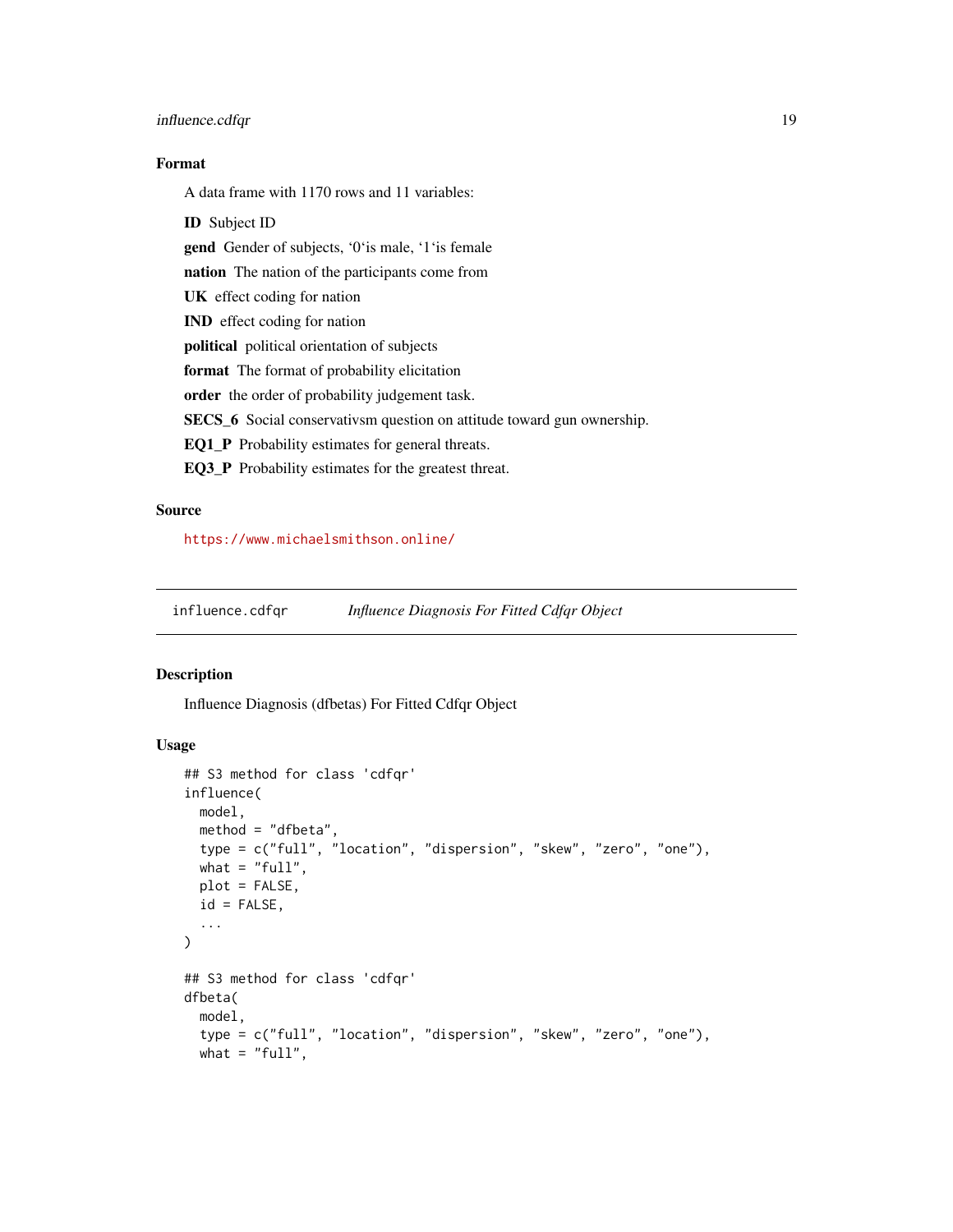#### <span id="page-18-0"></span>influence.cdfqr 19

# Format

A data frame with 1170 rows and 11 variables:

ID Subject ID

gend Gender of subjects, '0'is male, '1'is female

nation The nation of the participants come from

UK effect coding for nation

IND effect coding for nation

political political orientation of subjects

format The format of probability elicitation

order the order of probability judgement task.

SECS\_6 Social conservativsm question on attitude toward gun ownership.

EQ1\_P Probability estimates for general threats.

EQ3\_P Probability estimates for the greatest threat.

# Source

<https://www.michaelsmithson.online/>

<span id="page-18-1"></span>influence.cdfqr *Influence Diagnosis For Fitted Cdfqr Object*

# Description

Influence Diagnosis (dfbetas) For Fitted Cdfqr Object

```
## S3 method for class 'cdfqr'
influence(
 model,
 method = "dfbeta",
 type = c("full", "location", "dispersion", "skew", "zero", "one"),
 what = "full",plot = FALSE,
  id = FALSE,
  ...
\lambda## S3 method for class 'cdfqr'
dfbeta(
 model,
  type = c("full", "location", "dispersion", "skew", "zero", "one"),
 what = "full",
```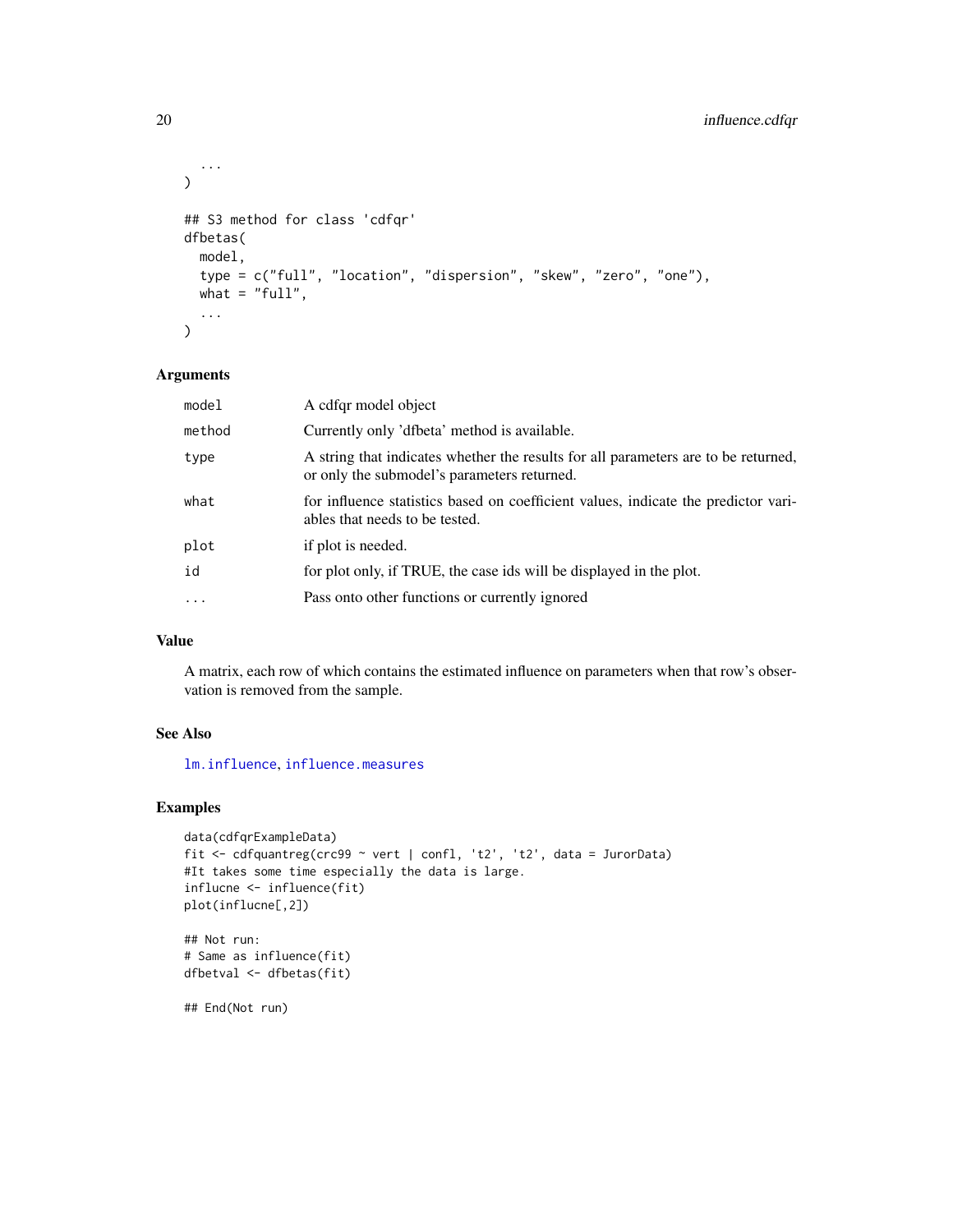```
...
\mathcal{L}## S3 method for class 'cdfqr'
dfbetas(
 model,
  type = c("full", "location", "dispersion", "skew", "zero", "one"),
 what = "full",...
)
```

| model     | A cdfqr model object                                                                                                              |
|-----------|-----------------------------------------------------------------------------------------------------------------------------------|
| method    | Currently only 'dfbeta' method is available.                                                                                      |
| type      | A string that indicates whether the results for all parameters are to be returned,<br>or only the submodel's parameters returned. |
| what      | for influence statistics based on coefficient values, indicate the predictor vari-<br>ables that needs to be tested.              |
| plot      | if plot is needed.                                                                                                                |
| id        | for plot only, if TRUE, the case ids will be displayed in the plot.                                                               |
| $\ddotsc$ | Pass onto other functions or currently ignored                                                                                    |
|           |                                                                                                                                   |

### Value

A matrix, each row of which contains the estimated influence on parameters when that row's observation is removed from the sample.

# See Also

[lm.influence](#page-0-0), [influence.measures](#page-0-0)

#### Examples

```
data(cdfqrExampleData)
fit <- cdfquantreg(crc99 ~ vert | confl, 't2', 't2', data = JurorData)
#It takes some time especially the data is large.
influcne <- influence(fit)
plot(influcne[,2])
```

```
## Not run:
# Same as influence(fit)
dfbetval <- dfbetas(fit)
```
## End(Not run)

<span id="page-19-0"></span>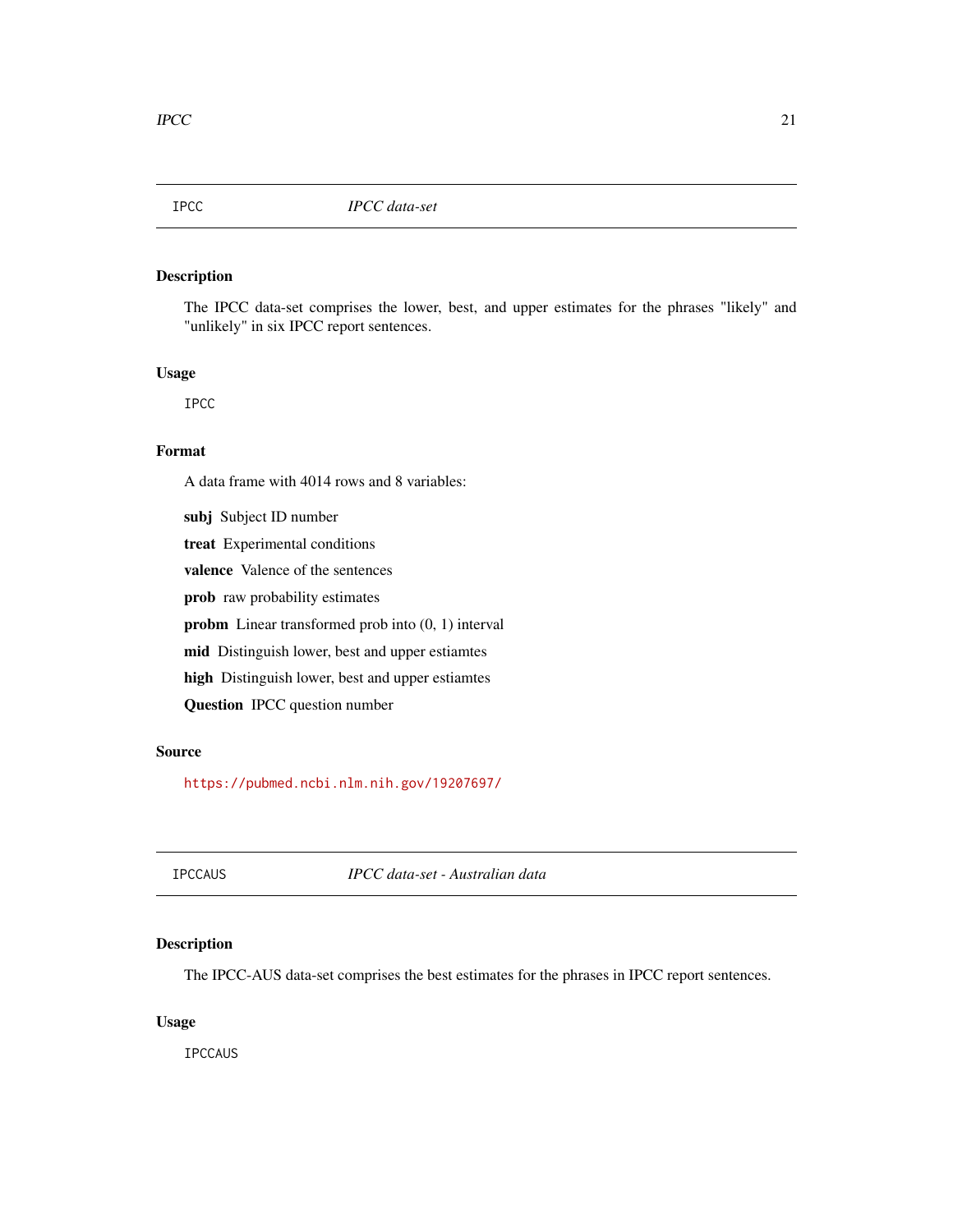<span id="page-20-0"></span>

### Description

The IPCC data-set comprises the lower, best, and upper estimates for the phrases "likely" and "unlikely" in six IPCC report sentences.

#### Usage

IPCC

# Format

A data frame with 4014 rows and 8 variables:

subj Subject ID number treat Experimental conditions valence Valence of the sentences prob raw probability estimates probm Linear transformed prob into (0, 1) interval mid Distinguish lower, best and upper estiamtes high Distinguish lower, best and upper estiamtes Question IPCC question number

# Source

<https://pubmed.ncbi.nlm.nih.gov/19207697/>

IPCCAUS *IPCC data-set - Australian data*

# Description

The IPCC-AUS data-set comprises the best estimates for the phrases in IPCC report sentences.

#### Usage

IPCCAUS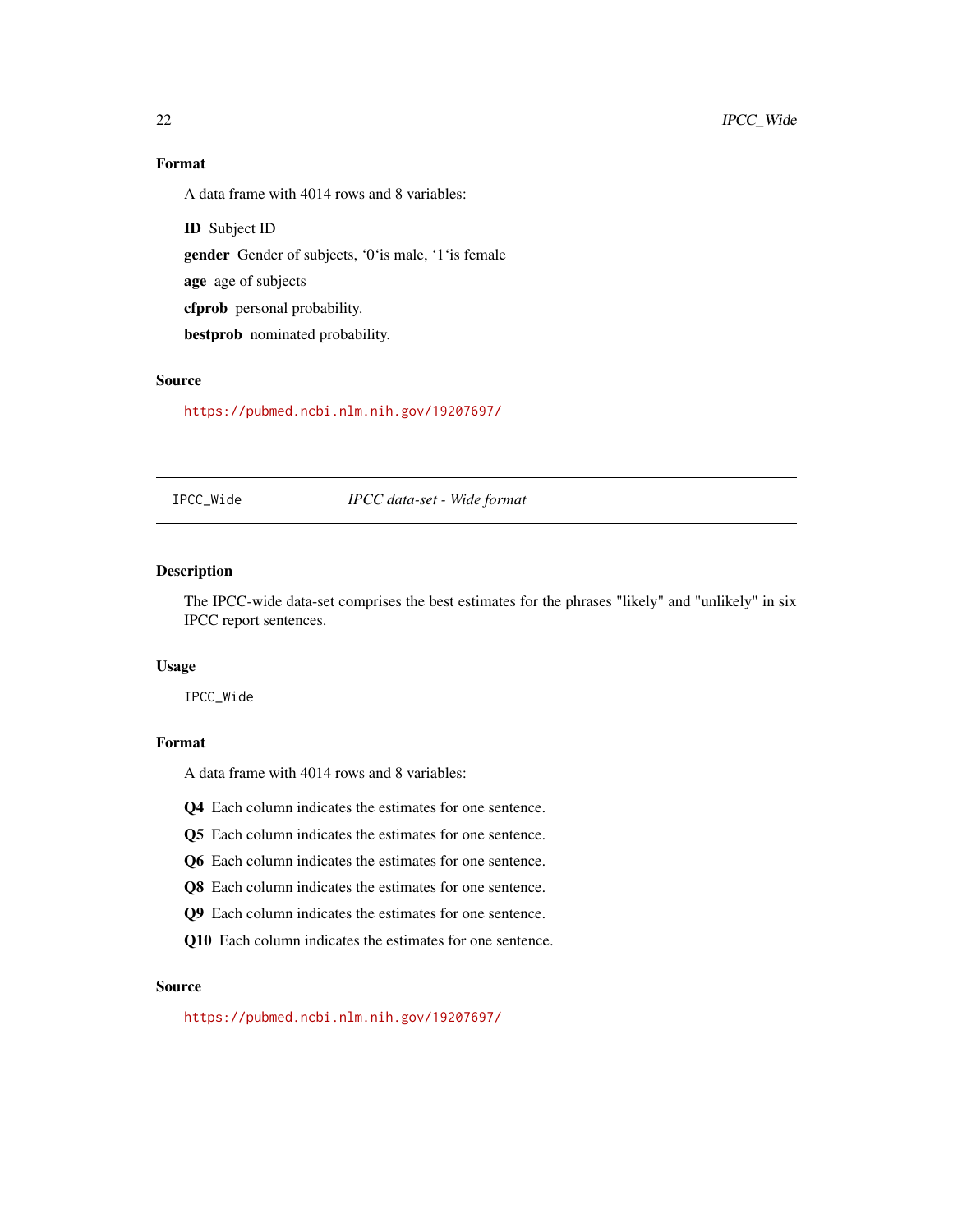# Format

A data frame with 4014 rows and 8 variables:

ID Subject ID

gender Gender of subjects, '0'is male, '1'is female

age age of subjects

cfprob personal probability.

bestprob nominated probability.

# Source

<https://pubmed.ncbi.nlm.nih.gov/19207697/>

IPCC\_Wide *IPCC data-set - Wide format*

#### Description

The IPCC-wide data-set comprises the best estimates for the phrases "likely" and "unlikely" in six IPCC report sentences.

# Usage

IPCC\_Wide

# Format

A data frame with 4014 rows and 8 variables:

Q4 Each column indicates the estimates for one sentence.

- Q5 Each column indicates the estimates for one sentence.
- Q6 Each column indicates the estimates for one sentence.
- Q8 Each column indicates the estimates for one sentence.
- Q9 Each column indicates the estimates for one sentence.
- Q10 Each column indicates the estimates for one sentence.

# Source

<https://pubmed.ncbi.nlm.nih.gov/19207697/>

<span id="page-21-0"></span>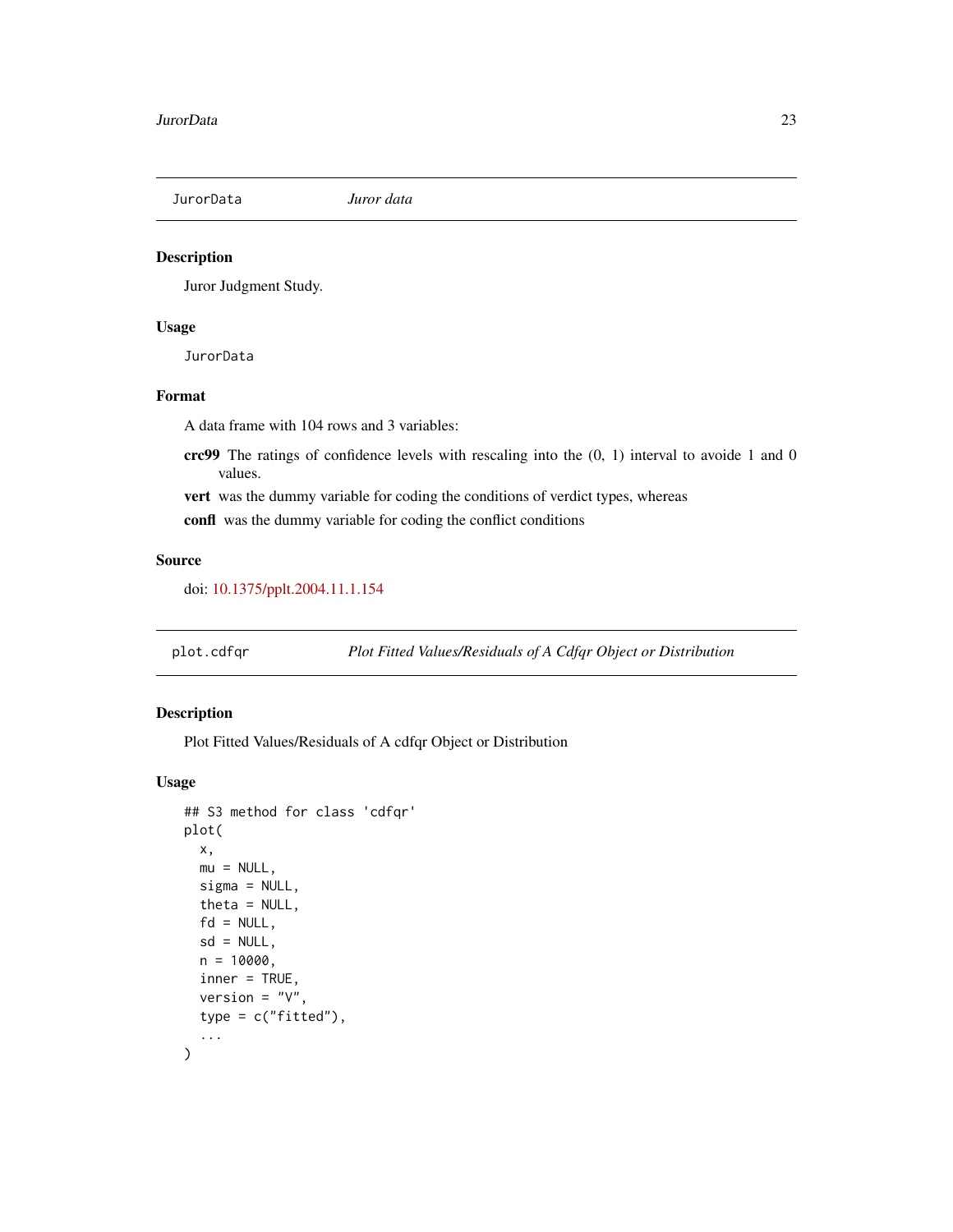<span id="page-22-0"></span>

# Description

Juror Judgment Study.

#### Usage

JurorData

# Format

A data frame with 104 rows and 3 variables:

- crc99 The ratings of confidence levels with rescaling into the  $(0, 1)$  interval to avoide 1 and 0 values.
- vert was the dummy variable for coding the conditions of verdict types, whereas

confl was the dummy variable for coding the conflict conditions

#### Source

doi: [10.1375/pplt.2004.11.1.154](https://doi.org/10.1375/pplt.2004.11.1.154)

plot.cdfqr *Plot Fitted Values/Residuals of A Cdfqr Object or Distribution*

# Description

Plot Fitted Values/Residuals of A cdfqr Object or Distribution

```
## S3 method for class 'cdfqr'
plot(
 x,
 mu = NULL,signa = NULL,theta = NULL,
  fd = NULL,sd = NULL,n = 10000,
  inner = TRUE,
  version = "V",
  type = c("fitted"),
  ...
)
```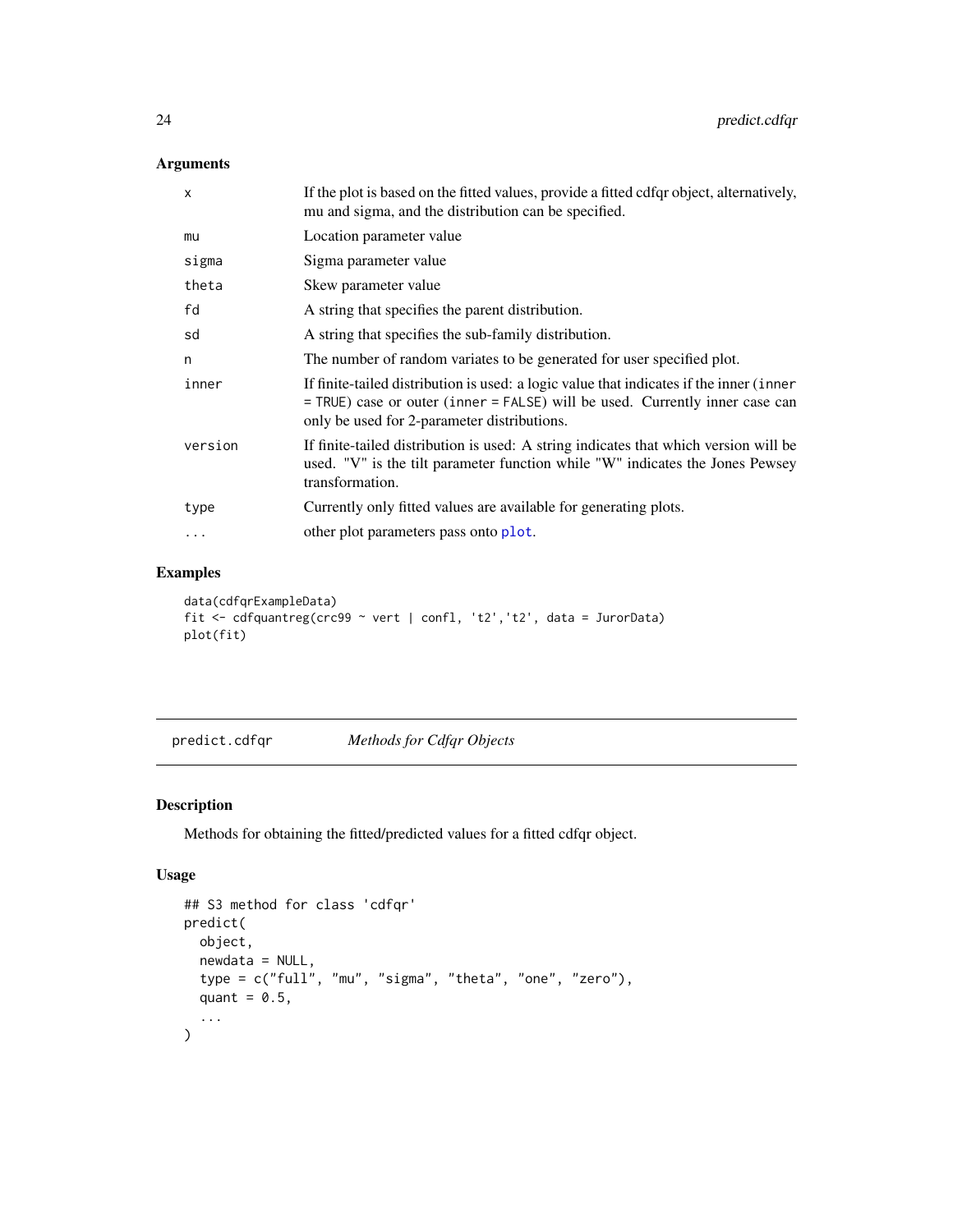<span id="page-23-0"></span>

| X        | If the plot is based on the fitted values, provide a fitted cdfqr object, alternatively,<br>mu and sigma, and the distribution can be specified.                                                                       |
|----------|------------------------------------------------------------------------------------------------------------------------------------------------------------------------------------------------------------------------|
| mu       | Location parameter value                                                                                                                                                                                               |
| sigma    | Sigma parameter value                                                                                                                                                                                                  |
| theta    | Skew parameter value                                                                                                                                                                                                   |
| fd       | A string that specifies the parent distribution.                                                                                                                                                                       |
| sd       | A string that specifies the sub-family distribution.                                                                                                                                                                   |
| n        | The number of random variates to be generated for user specified plot.                                                                                                                                                 |
| inner    | If finite-tailed distribution is used: a logic value that indicates if the inner (inner<br>= TRUE) case or outer (inner = FALSE) will be used. Currently inner case can<br>only be used for 2-parameter distributions. |
| version  | If finite-tailed distribution is used: A string indicates that which version will be<br>used. "V" is the tilt parameter function while "W" indicates the Jones Pewsey<br>transformation.                               |
| type     | Currently only fitted values are available for generating plots.                                                                                                                                                       |
| $\ddots$ | other plot parameters pass onto plot.                                                                                                                                                                                  |
|          |                                                                                                                                                                                                                        |

# Examples

```
data(cdfqrExampleData)
fit <- cdfquantreg(crc99 ~ vert | confl, 't2','t2', data = JurorData)
plot(fit)
```
predict.cdfqr *Methods for Cdfqr Objects*

# Description

Methods for obtaining the fitted/predicted values for a fitted cdfqr object.

```
## S3 method for class 'cdfqr'
predict(
 object,
 newdata = NULL,
 type = c("full", "mu", "sigma", "theta", "one", "zero"),
 quant = 0.5,
  ...
)
```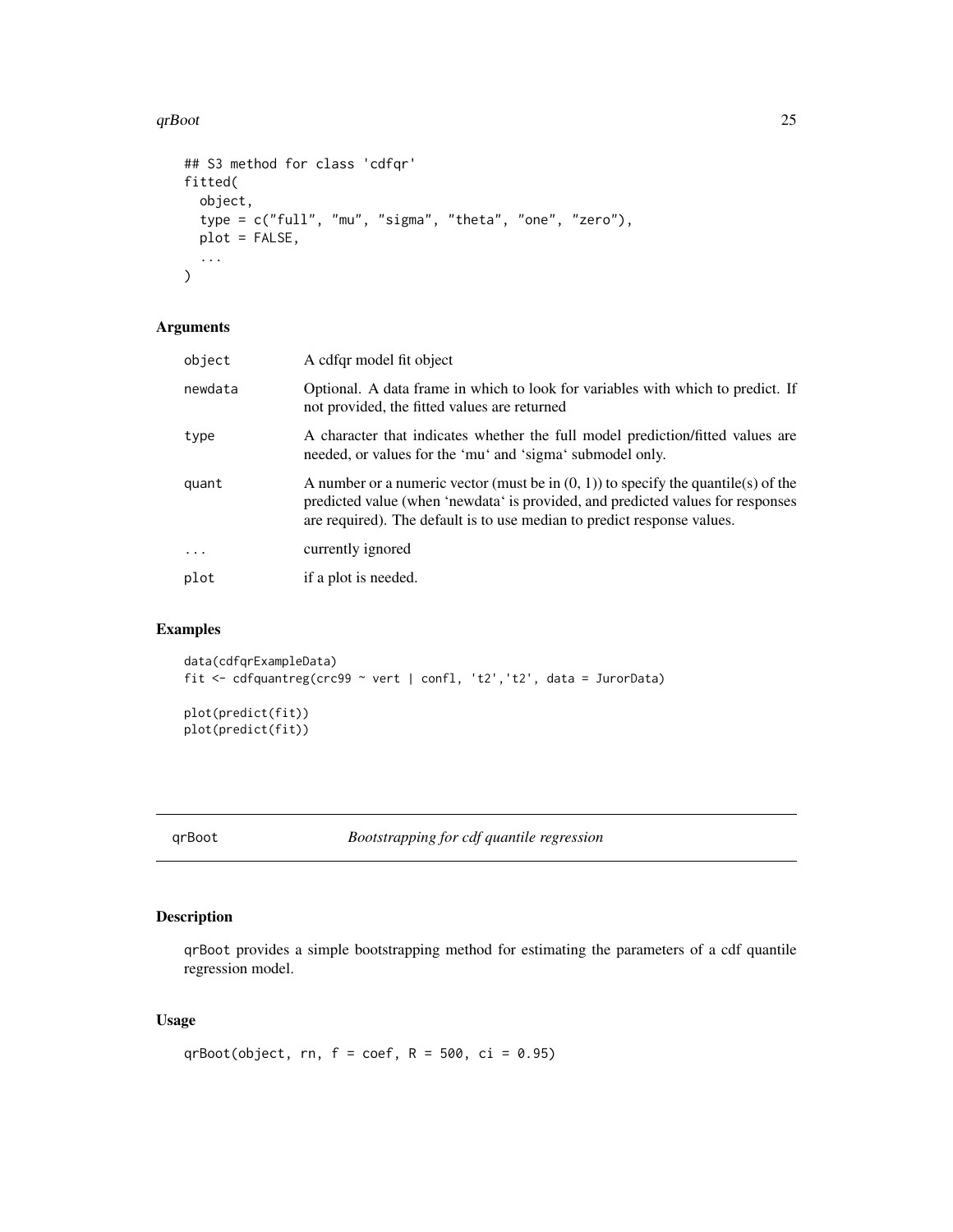#### <span id="page-24-0"></span> $q$ rBoot 25

```
## S3 method for class 'cdfqr'
fitted(
  object,
  type = c("full", "mu", "sigma", "theta", "one", "zero"),
  plot = FALSE,
  ...
)
```
# Arguments

| object   | A cdfqr model fit object                                                                                                                                                                                                                            |
|----------|-----------------------------------------------------------------------------------------------------------------------------------------------------------------------------------------------------------------------------------------------------|
| newdata  | Optional. A data frame in which to look for variables with which to predict. If<br>not provided, the fitted values are returned                                                                                                                     |
| type     | A character that indicates whether the full model prediction/fitted values are<br>needed, or values for the 'mu' and 'sigma' submodel only.                                                                                                         |
| quant    | A number or a numeric vector (must be in $(0, 1)$ ) to specify the quantile(s) of the<br>predicted value (when 'newdata' is provided, and predicted values for responses<br>are required). The default is to use median to predict response values. |
| $\cdots$ | currently ignored                                                                                                                                                                                                                                   |
| plot     | if a plot is needed.                                                                                                                                                                                                                                |
|          |                                                                                                                                                                                                                                                     |

# Examples

```
data(cdfqrExampleData)
fit <- cdfquantreg(crc99 ~ vert | confl, 't2','t2', data = JurorData)
plot(predict(fit))
plot(predict(fit))
```
<span id="page-24-1"></span>

qrBoot *Bootstrapping for cdf quantile regression*

# Description

qrBoot provides a simple bootstrapping method for estimating the parameters of a cdf quantile regression model.

```
qrBoot(object, rn, f = \text{coef}, R = 500, ci = 0.95)
```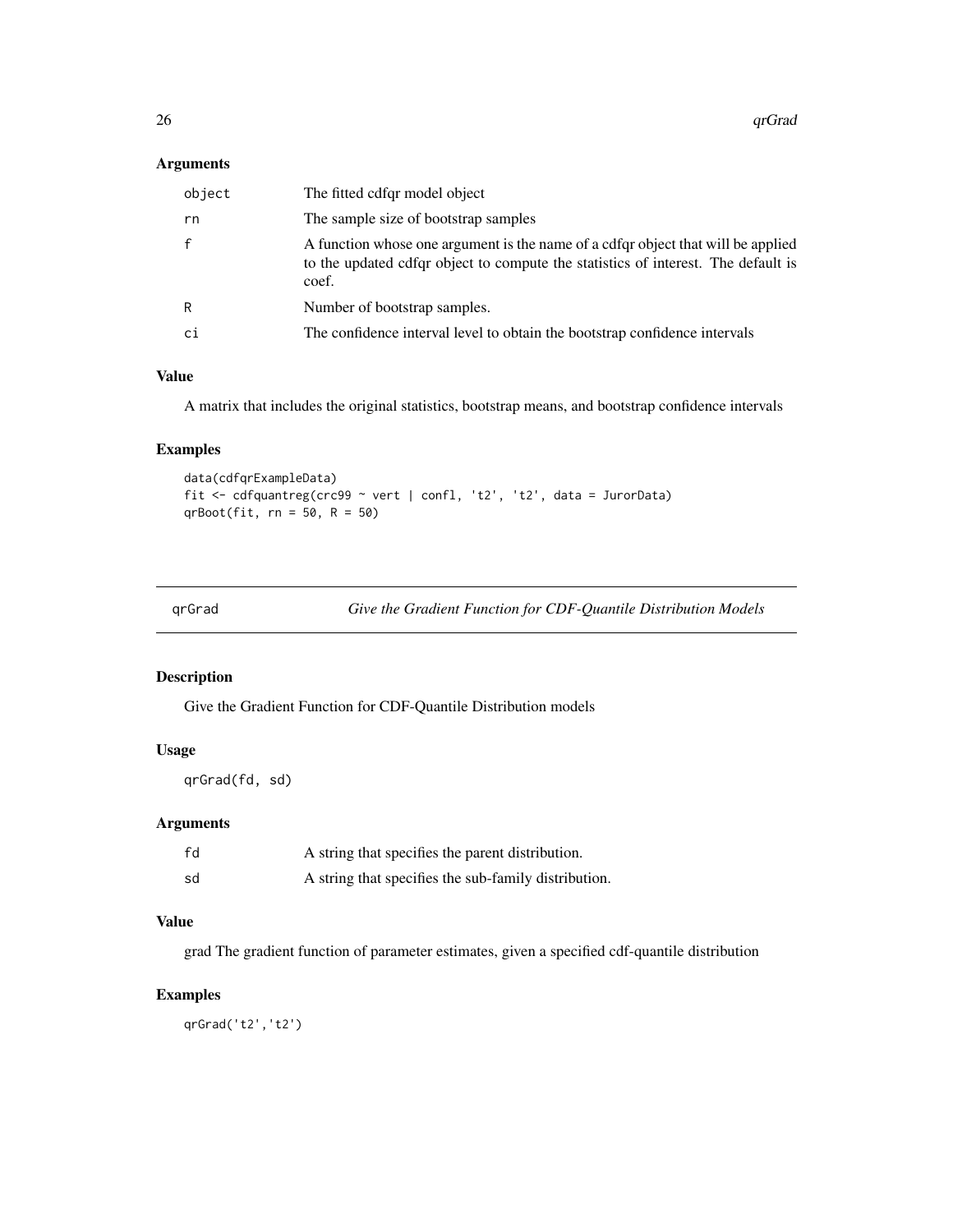<span id="page-25-0"></span>

| object | The fitted cdfgr model object                                                                                                                                                  |
|--------|--------------------------------------------------------------------------------------------------------------------------------------------------------------------------------|
| rn     | The sample size of bootstrap samples                                                                                                                                           |
| f      | A function whose one argument is the name of a cdfqr object that will be applied<br>to the updated cdfqr object to compute the statistics of interest. The default is<br>coef. |
| R      | Number of bootstrap samples.                                                                                                                                                   |
| сi     | The confidence interval level to obtain the bootstrap confidence intervals                                                                                                     |
|        |                                                                                                                                                                                |

# Value

A matrix that includes the original statistics, bootstrap means, and bootstrap confidence intervals

# Examples

```
data(cdfqrExampleData)
fit <- cdfquantreg(crc99 ~ vert | confl, 't2', 't2', data = JurorData)
qrBoot(fit, rn = 50, R = 50)
```
qrGrad *Give the Gradient Function for CDF-Quantile Distribution Models*

# Description

Give the Gradient Function for CDF-Quantile Distribution models

#### Usage

qrGrad(fd, sd)

# Arguments

| fd | A string that specifies the parent distribution.     |
|----|------------------------------------------------------|
| sd | A string that specifies the sub-family distribution. |

# Value

grad The gradient function of parameter estimates, given a specified cdf-quantile distribution

# Examples

qrGrad('t2','t2')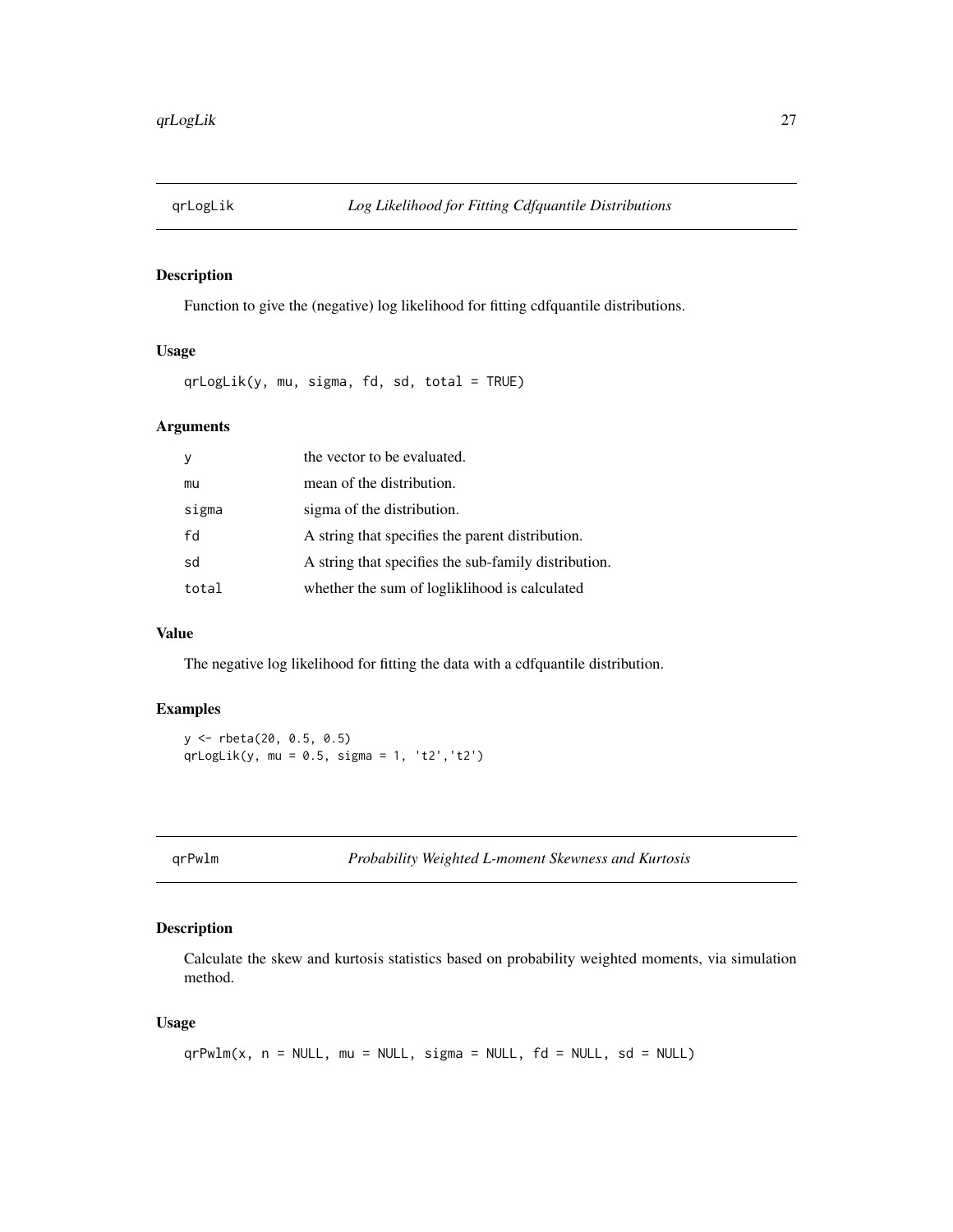<span id="page-26-0"></span>

# Description

Function to give the (negative) log likelihood for fitting cdfquantile distributions.

# Usage

qrLogLik(y, mu, sigma, fd, sd, total = TRUE)

# Arguments

| <sub>V</sub> | the vector to be evaluated.                          |
|--------------|------------------------------------------------------|
| mu           | mean of the distribution.                            |
| sigma        | sigma of the distribution.                           |
| fd           | A string that specifies the parent distribution.     |
| sd           | A string that specifies the sub-family distribution. |
| total        | whether the sum of logliklihood is calculated        |

# Value

The negative log likelihood for fitting the data with a cdfquantile distribution.

# Examples

```
y <- rbeta(20, 0.5, 0.5)
qrLogLik(y, mu = 0.5, sigma = 1, 't2','t2')
```
<span id="page-26-1"></span>qrPwlm *Probability Weighted L-moment Skewness and Kurtosis*

# Description

Calculate the skew and kurtosis statistics based on probability weighted moments, via simulation method.

```
qrPwlm(x, n = NULL, mu = NULL, sigma = NULL, fd = NULL, sd = NULL)
```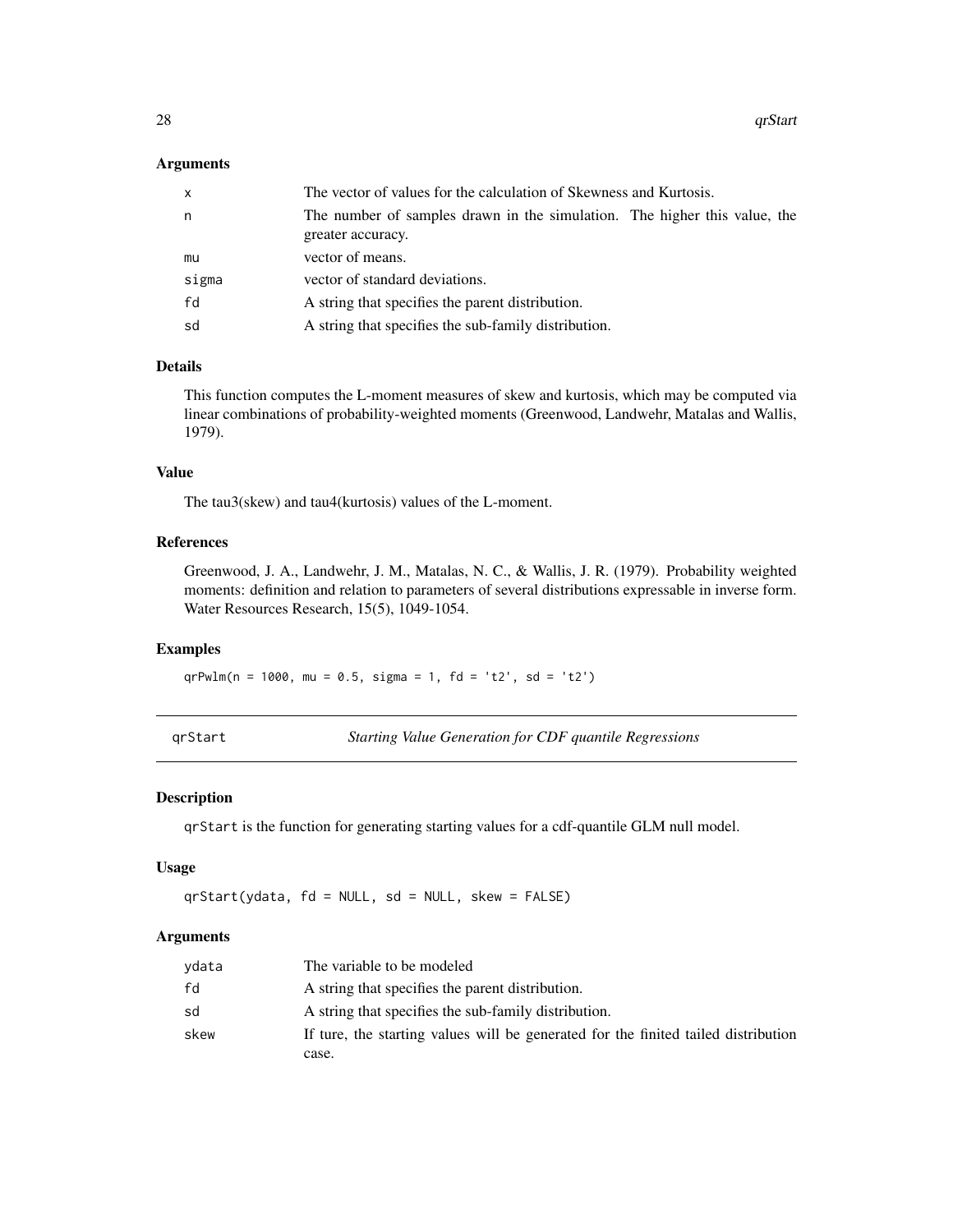<span id="page-27-0"></span>

| x     | The vector of values for the calculation of Skewness and Kurtosis.                             |
|-------|------------------------------------------------------------------------------------------------|
| n     | The number of samples drawn in the simulation. The higher this value, the<br>greater accuracy. |
| mu    | vector of means.                                                                               |
| sigma | vector of standard deviations.                                                                 |
| fd    | A string that specifies the parent distribution.                                               |
| sd    | A string that specifies the sub-family distribution.                                           |

#### Details

This function computes the L-moment measures of skew and kurtosis, which may be computed via linear combinations of probability-weighted moments (Greenwood, Landwehr, Matalas and Wallis, 1979).

#### Value

The tau3(skew) and tau4(kurtosis) values of the L-moment.

# References

Greenwood, J. A., Landwehr, J. M., Matalas, N. C., & Wallis, J. R. (1979). Probability weighted moments: definition and relation to parameters of several distributions expressable in inverse form. Water Resources Research, 15(5), 1049-1054.

# Examples

 $qrPwlm(n = 1000, mu = 0.5, sigma = 1, fd = 't2', sd = 't2')$ 

qrStart *Starting Value Generation for CDF quantile Regressions*

# Description

qrStart is the function for generating starting values for a cdf-quantile GLM null model.

# Usage

qrStart(ydata, fd = NULL, sd = NULL, skew = FALSE)

#### Arguments

| vdata | The variable to be modeled                                                         |
|-------|------------------------------------------------------------------------------------|
| fd    | A string that specifies the parent distribution.                                   |
| sd    | A string that specifies the sub-family distribution.                               |
| skew  | If ture, the starting values will be generated for the finited tailed distribution |
|       | case.                                                                              |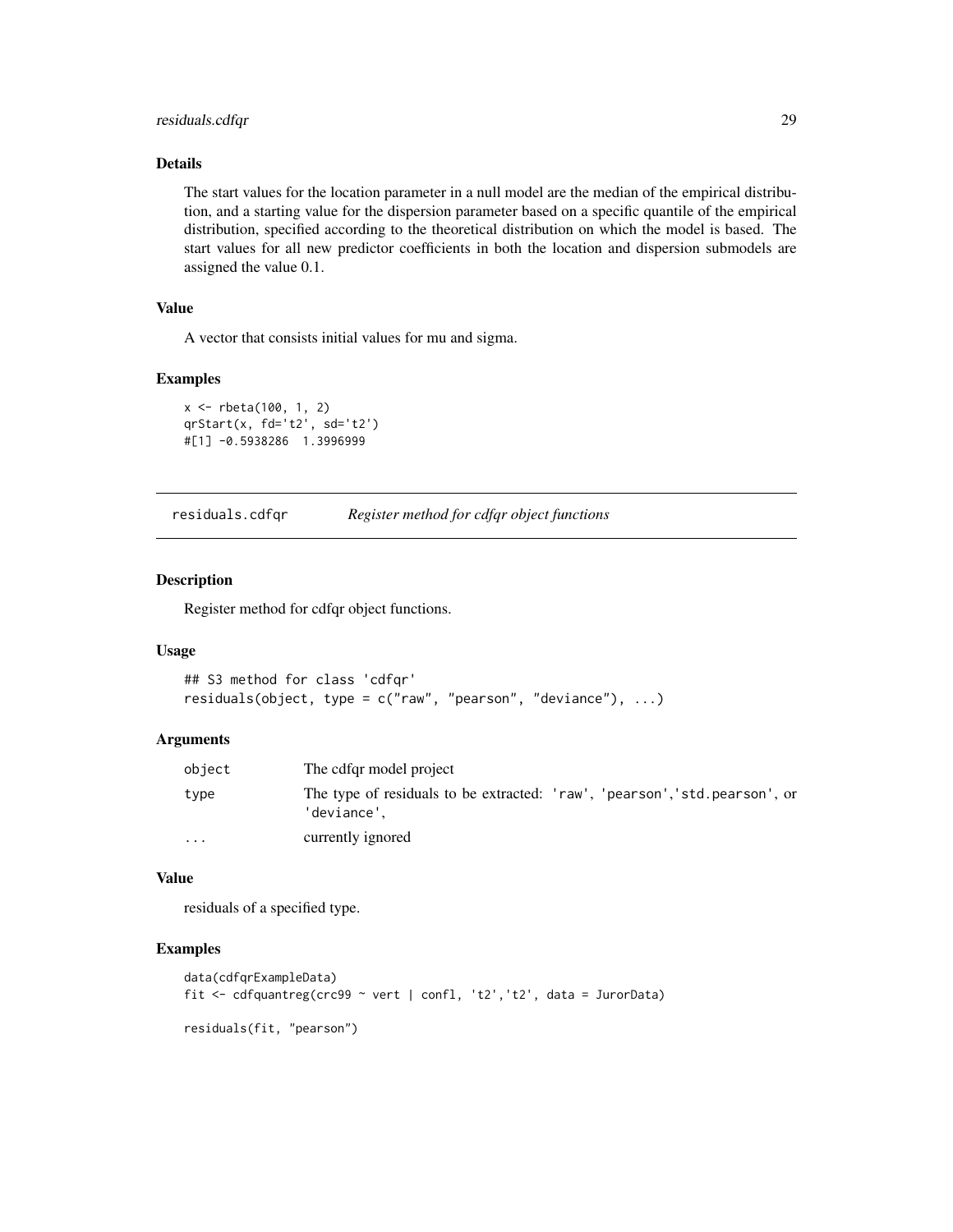# <span id="page-28-0"></span>residuals.cdfqr 29

# Details

The start values for the location parameter in a null model are the median of the empirical distribution, and a starting value for the dispersion parameter based on a specific quantile of the empirical distribution, specified according to the theoretical distribution on which the model is based. The start values for all new predictor coefficients in both the location and dispersion submodels are assigned the value 0.1.

# Value

A vector that consists initial values for mu and sigma.

#### Examples

```
x <- rbeta(100, 1, 2)
qrStart(x, fd='t2', sd='t2')
#[1] -0.5938286 1.3996999
```
<span id="page-28-1"></span>residuals.cdfqr *Register method for cdfqr object functions*

#### Description

Register method for cdfqr object functions.

#### Usage

```
## S3 method for class 'cdfqr'
residuals(object, type = c("raw", "pearson", "deviance"), ...)
```
#### Arguments

| object   | The cdfgr model project                                                                    |
|----------|--------------------------------------------------------------------------------------------|
| type     | The type of residuals to be extracted: 'raw', 'pearson', 'std. pearson', or<br>'deviance'. |
| $\cdots$ | currently ignored                                                                          |

#### Value

residuals of a specified type.

# Examples

```
data(cdfqrExampleData)
fit <- cdfquantreg(crc99 ~ vert | confl, 't2','t2', data = JurorData)
residuals(fit, "pearson")
```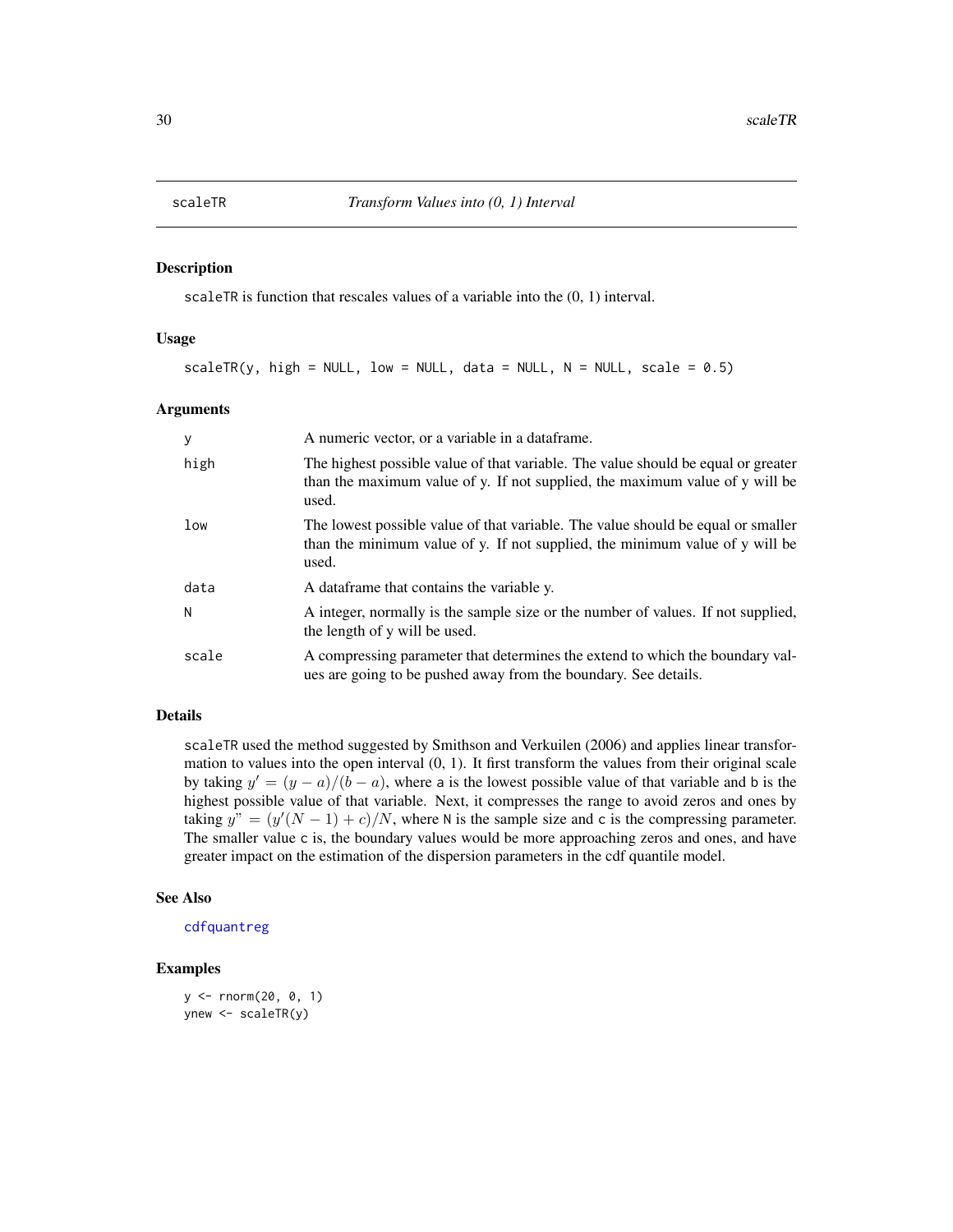#### <span id="page-29-0"></span>Description

scaleTR is function that rescales values of a variable into the (0, 1) interval.

#### Usage

 $scaleTR(y, high = NULL, low = NULL, data = NULL, N = NULL, scale = 0.5)$ 

#### Arguments

| y     | A numeric vector, or a variable in a data frame.                                                                                                                           |
|-------|----------------------------------------------------------------------------------------------------------------------------------------------------------------------------|
| high  | The highest possible value of that variable. The value should be equal or greater<br>than the maximum value of y. If not supplied, the maximum value of y will be<br>used. |
| low   | The lowest possible value of that variable. The value should be equal or smaller<br>than the minimum value of y. If not supplied, the minimum value of y will be<br>used.  |
| data  | A data frame that contains the variable y.                                                                                                                                 |
| N     | A integer, normally is the sample size or the number of values. If not supplied,<br>the length of y will be used.                                                          |
| scale | A compressing parameter that determines the extend to which the boundary val-<br>ues are going to be pushed away from the boundary. See details.                           |

#### Details

scaleTR used the method suggested by Smithson and Verkuilen (2006) and applies linear transformation to values into the open interval  $(0, 1)$ . It first transform the values from their original scale by taking  $y' = (y - a)/(b - a)$ , where a is the lowest possible value of that variable and b is the highest possible value of that variable. Next, it compresses the range to avoid zeros and ones by taking  $y'' = (y'(N-1) + c)/N$ , where N is the sample size and c is the compressing parameter. The smaller value c is, the boundary values would be more approaching zeros and ones, and have greater impact on the estimation of the dispersion parameters in the cdf quantile model.

# See Also

[cdfquantreg](#page-9-1)

#### Examples

```
y <- rnorm(20, 0, 1)
ynew <- scaleTR(y)
```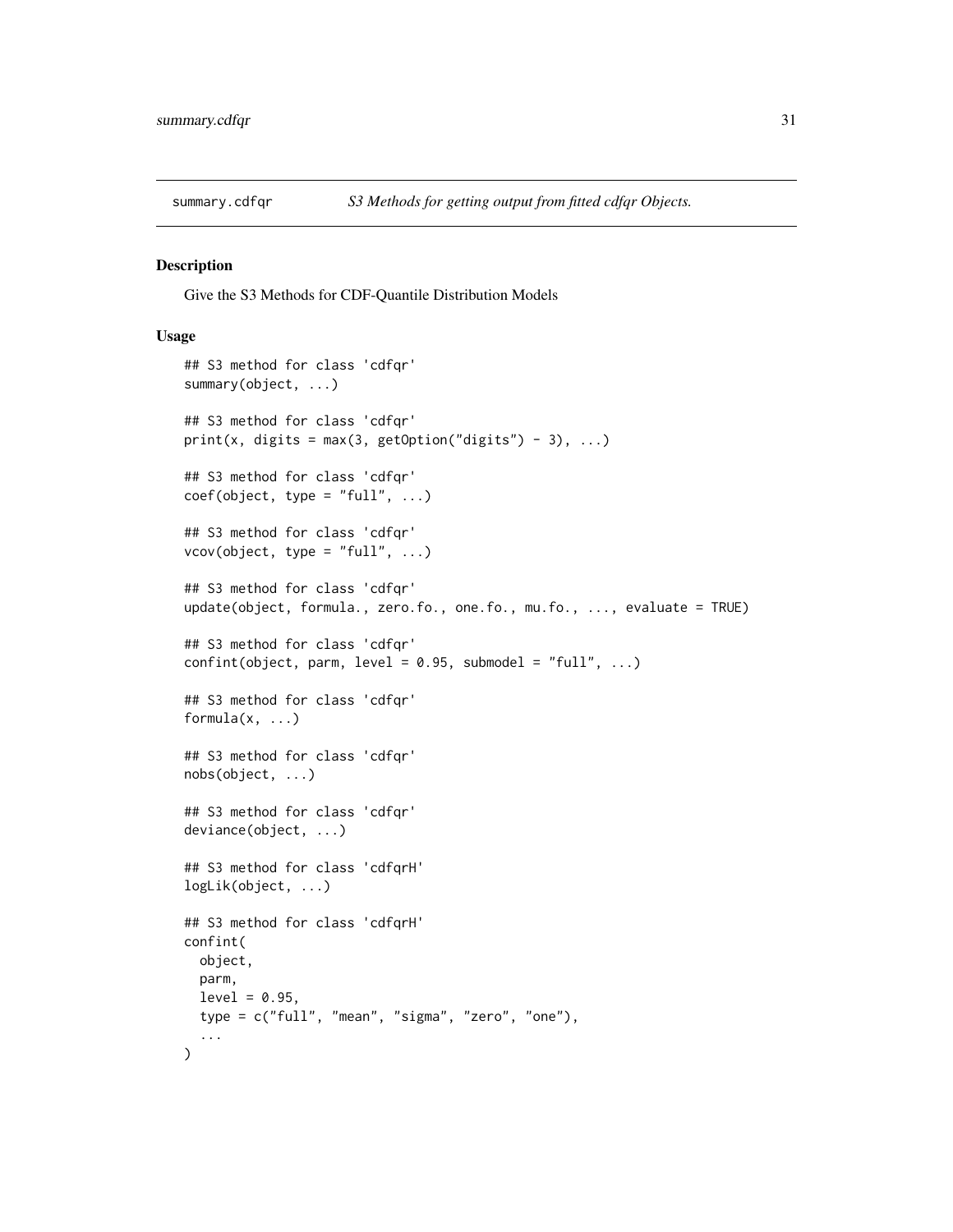<span id="page-30-2"></span><span id="page-30-0"></span>

#### <span id="page-30-1"></span>Description

Give the S3 Methods for CDF-Quantile Distribution Models

```
## S3 method for class 'cdfqr'
summary(object, ...)
## S3 method for class 'cdfqr'
print(x, digits = max(3, getOption("digits") - 3), ...)
## S3 method for class 'cdfqr'
coef(object, type = "full", ...)## S3 method for class 'cdfqr'
vcov(object, type = "full", ...)## S3 method for class 'cdfqr'
update(object, formula., zero.fo., one.fo., mu.fo., ..., evaluate = TRUE)
## S3 method for class 'cdfqr'
confint(object, parm, level = 0.95, submodel = "full", ...)## S3 method for class 'cdfqr'
formula(x, \ldots)## S3 method for class 'cdfqr'
nobs(object, ...)
## S3 method for class 'cdfqr'
deviance(object, ...)
## S3 method for class 'cdfqrH'
logLik(object, ...)
## S3 method for class 'cdfqrH'
confint(
  object,
 parm,
 level = 0.95,
  type = c("full", "mean", "sigma", "zero", "one"),
  ...
)
```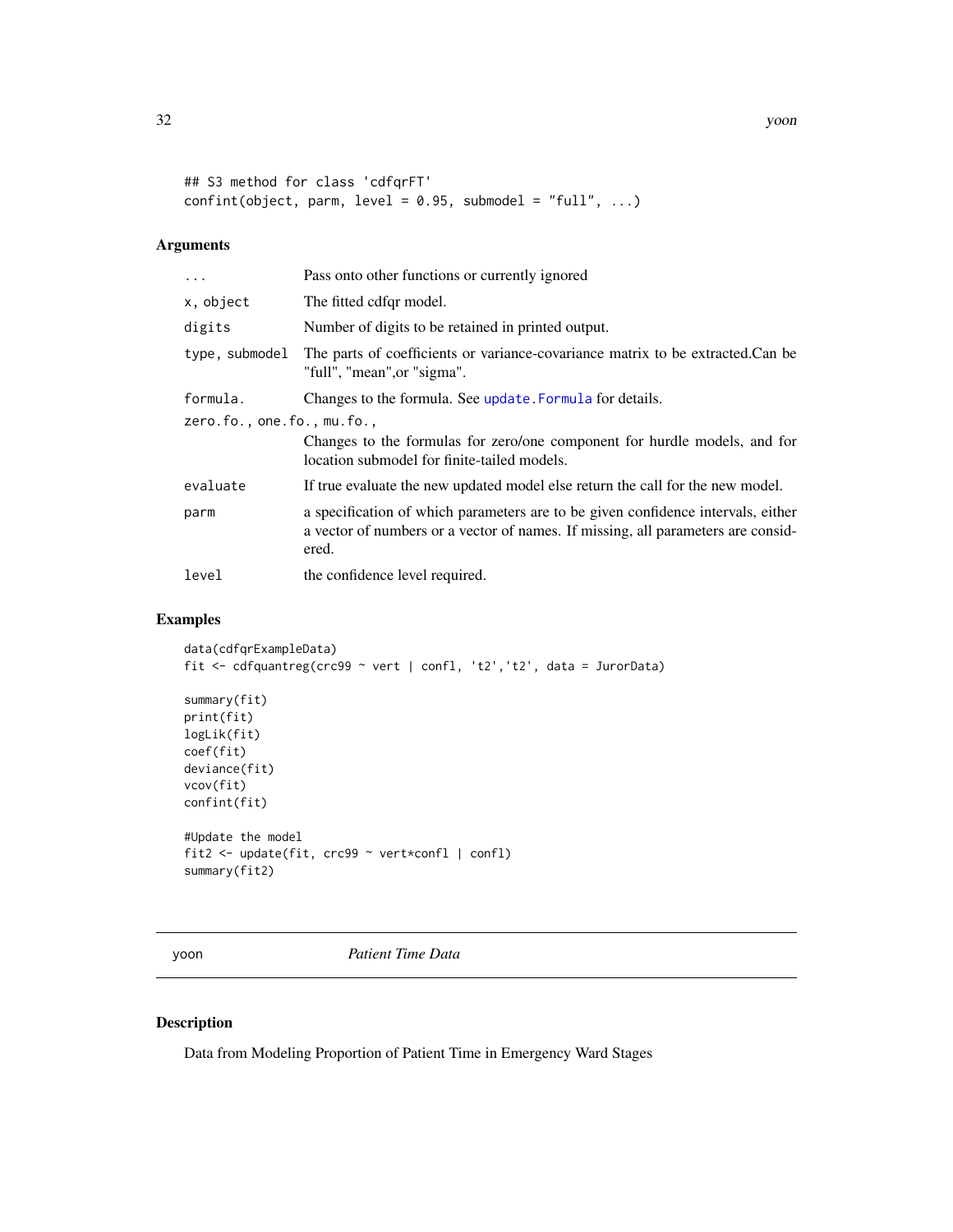```
## S3 method for class 'cdfqrFT'
confint(object, parm, level = 0.95, submodel = "full", ...)
```

| $\ddots$ .                 | Pass onto other functions or currently ignored                                                                                                                                |
|----------------------------|-------------------------------------------------------------------------------------------------------------------------------------------------------------------------------|
| x, object                  | The fitted cdfqr model.                                                                                                                                                       |
| digits                     | Number of digits to be retained in printed output.                                                                                                                            |
| type, submodel             | The parts of coefficients or variance-covariance matrix to be extracted.Can be<br>"full", "mean", or "sigma".                                                                 |
| formula.                   | Changes to the formula. See update. Formula for details.                                                                                                                      |
| zero.fo., one.fo., mu.fo., |                                                                                                                                                                               |
|                            | Changes to the formulas for zero/one component for hurdle models, and for<br>location submodel for finite-tailed models.                                                      |
| evaluate                   | If true evaluate the new updated model else return the call for the new model.                                                                                                |
| parm                       | a specification of which parameters are to be given confidence intervals, either<br>a vector of numbers or a vector of names. If missing, all parameters are consid-<br>ered. |
| level                      | the confidence level required.                                                                                                                                                |

# Examples

```
data(cdfqrExampleData)
fit <- cdfquantreg(crc99 ~ vert | confl, 't2','t2', data = JurorData)
summary(fit)
print(fit)
logLik(fit)
coef(fit)
deviance(fit)
vcov(fit)
confint(fit)
#Update the model
fit2 <- update(fit, crc99 ~ vert*confl | confl)
summary(fit2)
```
yoon *Patient Time Data*

# Description

Data from Modeling Proportion of Patient Time in Emergency Ward Stages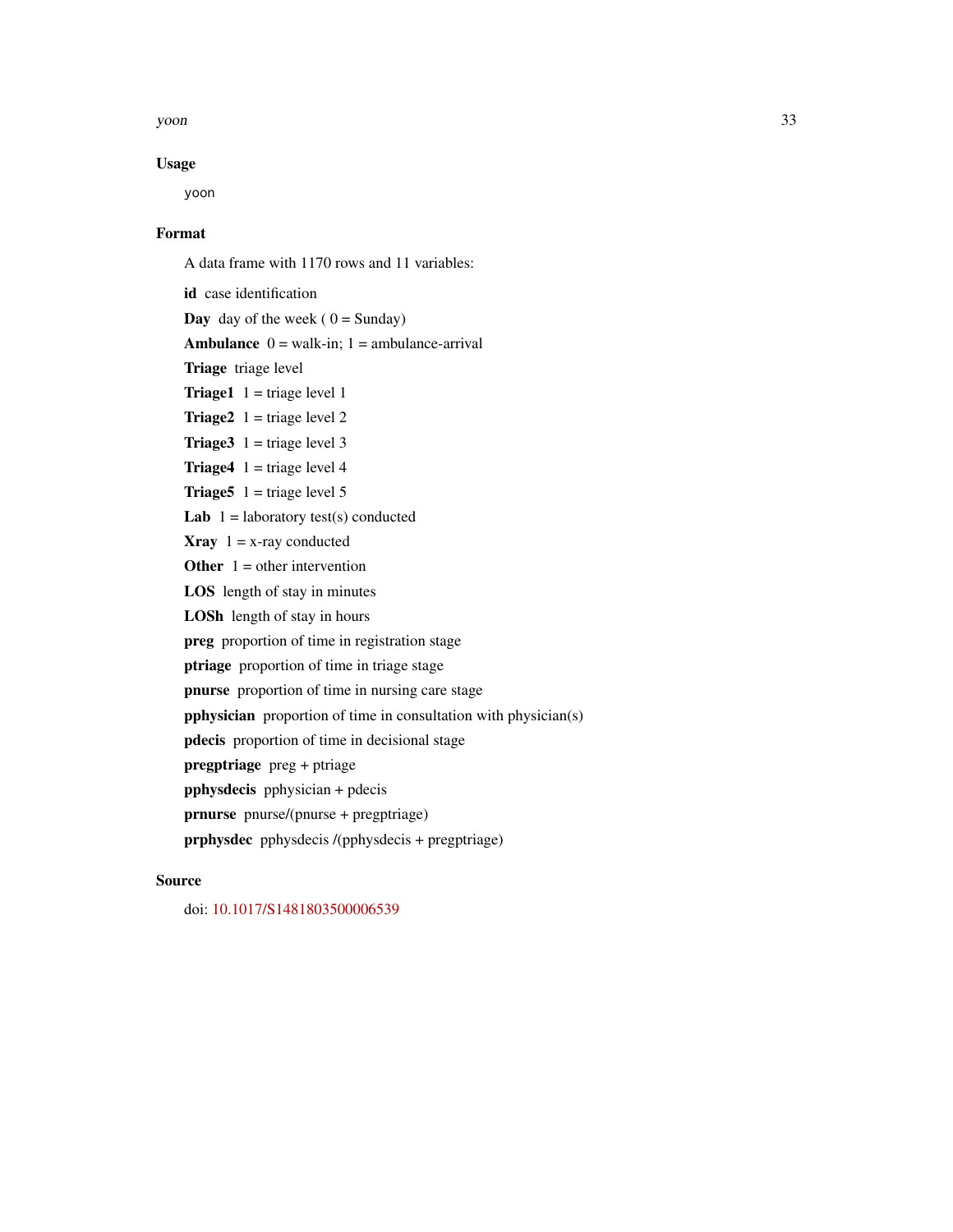yoon 33

# Usage

yoon

#### Format

A data frame with 1170 rows and 11 variables: id case identification **Day** day of the week ( $0 =$  Sunday) Ambulance  $0 = walk-in$ ;  $1 = amb$ ulance-arrival Triage triage level **Triage1**  $1 = \text{triangle level} 1$ **Triage2**  $1 = \text{triangle level } 2$ **Triage3**  $1 = \text{triangle level } 3$ **Triage4**  $1 = \text{triangle level } 4$ **Triage5**  $1 = \text{triangle level } 5$ Lab  $1 =$  laboratory test(s) conducted **Xray**  $1 = x$ -ray conducted **Other**  $1 =$  other intervention LOS length of stay in minutes LOSh length of stay in hours preg proportion of time in registration stage ptriage proportion of time in triage stage pnurse proportion of time in nursing care stage pphysician proportion of time in consultation with physician(s) pdecis proportion of time in decisional stage pregptriage preg + ptriage pphysdecis pphysician + pdecis prnurse pnurse/(pnurse + pregptriage)

# prphysdec pphysdecis /(pphysdecis + pregptriage)

# Source

doi: [10.1017/S1481803500006539](https://doi.org/10.1017/S1481803500006539)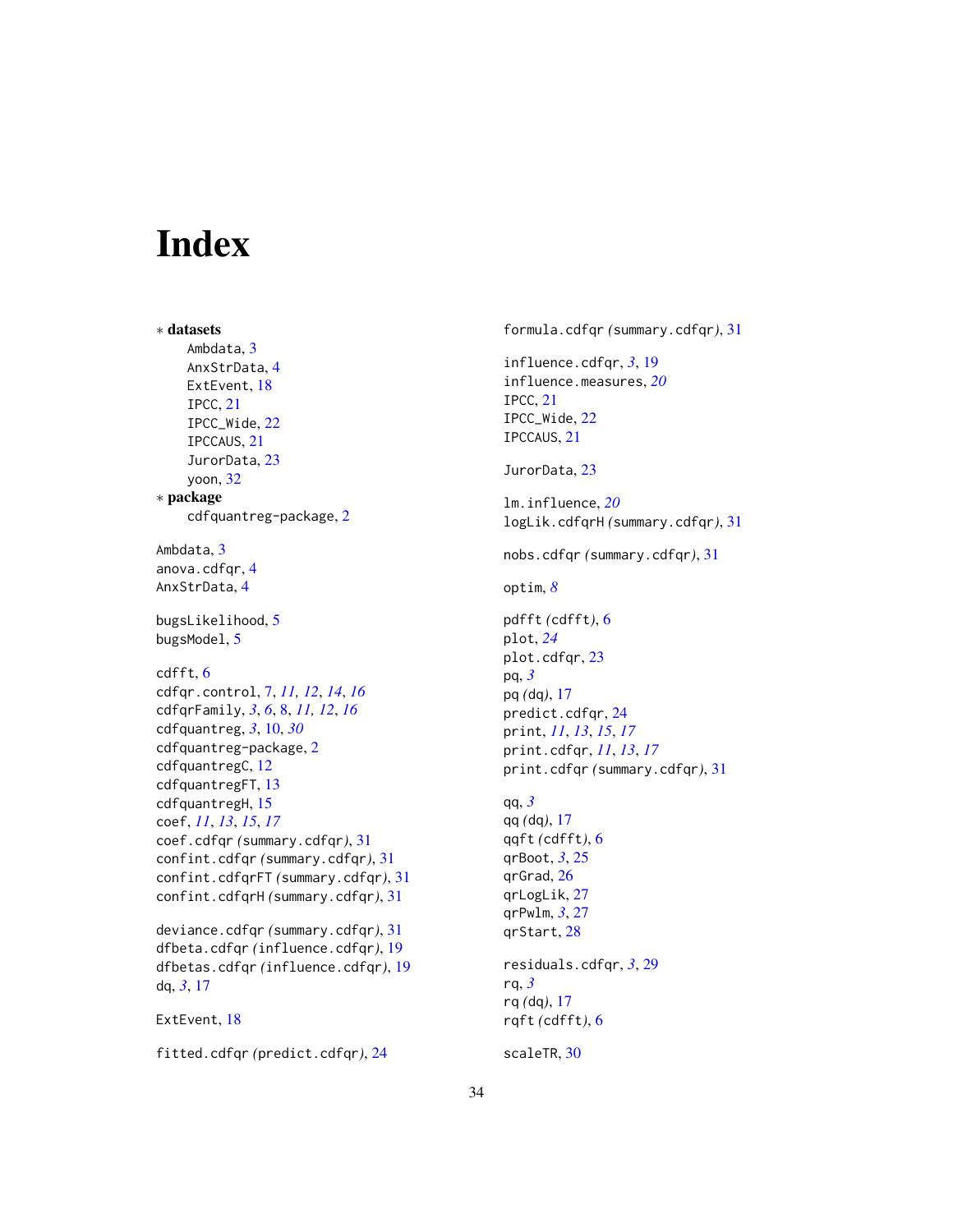# <span id="page-33-0"></span>Index

∗ datasets Ambdata, [3](#page-2-0) AnxStrData, [4](#page-3-0) ExtEvent, [18](#page-17-0) IPCC, [21](#page-20-0) IPCC\_Wide, [22](#page-21-0) IPCCAUS, [21](#page-20-0) JurorData, [23](#page-22-0) yoon, [32](#page-31-0) ∗ package cdfquantreg-package, [2](#page-1-0) Ambdata, [3](#page-2-0) anova.cdfgr.[4](#page-3-0) AnxStrData, [4](#page-3-0) bugsLikelihood, [5](#page-4-0) bugsModel, [5](#page-4-0) cdfft, [6](#page-5-0) cdfqr.control, [7,](#page-6-0) *[11,](#page-10-0) [12](#page-11-0)*, *[14](#page-13-0)*, *[16](#page-15-0)* cdfqrFamily, *[3](#page-2-0)*, *[6](#page-5-0)*, [8,](#page-7-0) *[11,](#page-10-0) [12](#page-11-0)*, *[16](#page-15-0)* cdfquantreg, *[3](#page-2-0)*, [10,](#page-9-0) *[30](#page-29-0)* cdfquantreg-package, [2](#page-1-0) cdfquantregC, [12](#page-11-0) cdfquantregFT, [13](#page-12-0) cdfquantregH, [15](#page-14-0) coef, *[11](#page-10-0)*, *[13](#page-12-0)*, *[15](#page-14-0)*, *[17](#page-16-0)* coef.cdfqr *(*summary.cdfqr*)*, [31](#page-30-0) confint.cdfqr *(*summary.cdfqr*)*, [31](#page-30-0) confint.cdfqrFT *(*summary.cdfqr*)*, [31](#page-30-0) confint.cdfqrH *(*summary.cdfqr*)*, [31](#page-30-0) deviance.cdfqr *(*summary.cdfqr*)*, [31](#page-30-0) dfbeta.cdfqr *(*influence.cdfqr*)*, [19](#page-18-0)

dfbetas.cdfqr *(*influence.cdfqr*)*, [19](#page-18-0) dq, *[3](#page-2-0)*, [17](#page-16-0)

```
ExtEvent, 18
```
fitted.cdfqr *(*predict.cdfqr*)*, [24](#page-23-0)

formula.cdfqr *(*summary.cdfqr*)*, [31](#page-30-0) influence.cdfqr, *[3](#page-2-0)*, [19](#page-18-0) influence.measures, *[20](#page-19-0)* IPCC, [21](#page-20-0) IPCC\_Wide, [22](#page-21-0) IPCCAUS, [21](#page-20-0) JurorData, [23](#page-22-0) lm.influence, *[20](#page-19-0)* logLik.cdfqrH *(*summary.cdfqr*)*, [31](#page-30-0) nobs.cdfqr *(*summary.cdfqr*)*, [31](#page-30-0) optim, *[8](#page-7-0)* pdfft *(*cdfft*)*, [6](#page-5-0) plot, *[24](#page-23-0)* plot.cdfqr, [23](#page-22-0) pq, *[3](#page-2-0)* pq *(*dq*)*, [17](#page-16-0) predict.cdfqr, [24](#page-23-0) print, *[11](#page-10-0)*, *[13](#page-12-0)*, *[15](#page-14-0)*, *[17](#page-16-0)* print.cdfqr, *[11](#page-10-0)*, *[13](#page-12-0)*, *[17](#page-16-0)* print.cdfqr *(*summary.cdfqr*)*, [31](#page-30-0) qq, *[3](#page-2-0)* qq *(*dq*)*, [17](#page-16-0) qqft *(*cdfft*)*, [6](#page-5-0) qrBoot, *[3](#page-2-0)*, [25](#page-24-0) qrGrad, [26](#page-25-0) qrLogLik, [27](#page-26-0) qrPwlm, *[3](#page-2-0)*, [27](#page-26-0) qrStart, [28](#page-27-0) residuals.cdfqr, *[3](#page-2-0)*, [29](#page-28-0) rq, *[3](#page-2-0)* rq *(*dq*)*, [17](#page-16-0) rqft *(*cdfft*)*, [6](#page-5-0)

scaleTR, [30](#page-29-0)